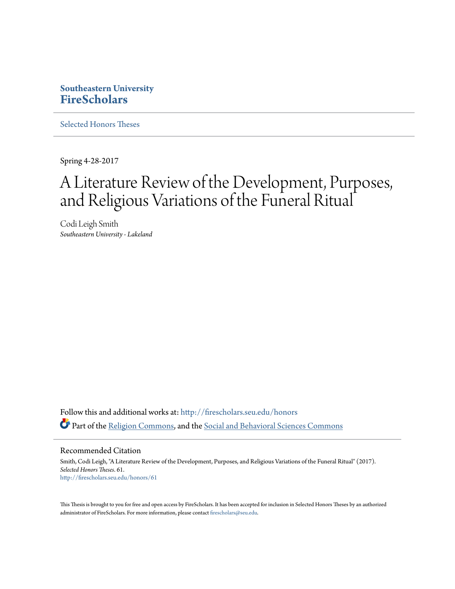## **Southeastern University [FireScholars](http://firescholars.seu.edu?utm_source=firescholars.seu.edu%2Fhonors%2F61&utm_medium=PDF&utm_campaign=PDFCoverPages)**

[Selected Honors Theses](http://firescholars.seu.edu/honors?utm_source=firescholars.seu.edu%2Fhonors%2F61&utm_medium=PDF&utm_campaign=PDFCoverPages)

Spring 4-28-2017

# A Literature Review of the Development, Purposes, and Religious Variations of the Funeral Ritual

Codi Leigh Smith *Southeastern University - Lakeland*

Follow this and additional works at: [http://firescholars.seu.edu/honors](http://firescholars.seu.edu/honors?utm_source=firescholars.seu.edu%2Fhonors%2F61&utm_medium=PDF&utm_campaign=PDFCoverPages) Part of the [Religion Commons](http://network.bepress.com/hgg/discipline/538?utm_source=firescholars.seu.edu%2Fhonors%2F61&utm_medium=PDF&utm_campaign=PDFCoverPages), and the [Social and Behavioral Sciences Commons](http://network.bepress.com/hgg/discipline/316?utm_source=firescholars.seu.edu%2Fhonors%2F61&utm_medium=PDF&utm_campaign=PDFCoverPages)

Recommended Citation

Smith, Codi Leigh, "A Literature Review of the Development, Purposes, and Religious Variations of the Funeral Ritual" (2017). *Selected Honors Theses*. 61. [http://firescholars.seu.edu/honors/61](http://firescholars.seu.edu/honors/61?utm_source=firescholars.seu.edu%2Fhonors%2F61&utm_medium=PDF&utm_campaign=PDFCoverPages)

This Thesis is brought to you for free and open access by FireScholars. It has been accepted for inclusion in Selected Honors Theses by an authorized administrator of FireScholars. For more information, please contact [firescholars@seu.edu](mailto:firescholars@seu.edu).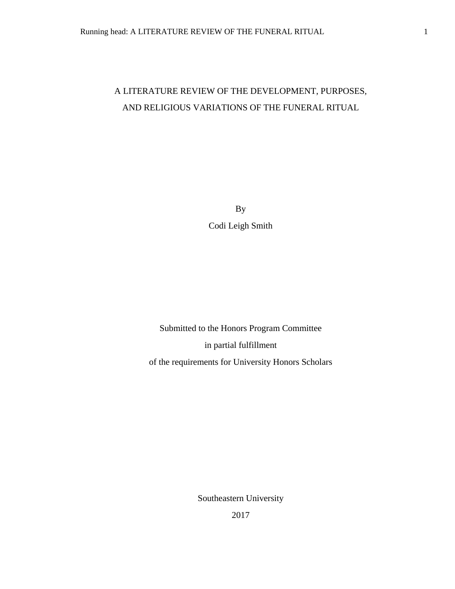# A LITERATURE REVIEW OF THE DEVELOPMENT, PURPOSES, AND RELIGIOUS VARIATIONS OF THE FUNERAL RITUAL

By Codi Leigh Smith

Submitted to the Honors Program Committee in partial fulfillment of the requirements for University Honors Scholars

Southeastern University

2017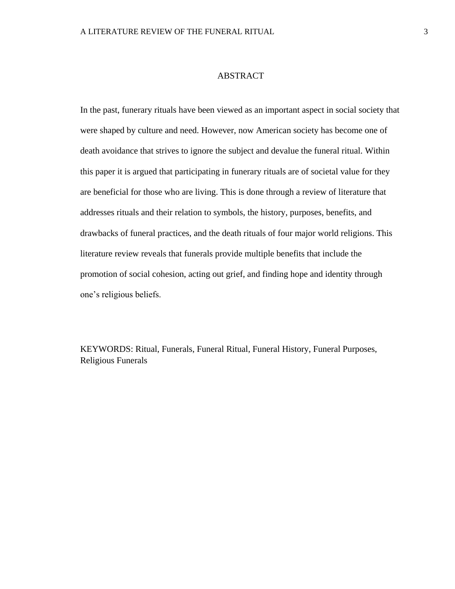#### ABSTRACT

In the past, funerary rituals have been viewed as an important aspect in social society that were shaped by culture and need. However, now American society has become one of death avoidance that strives to ignore the subject and devalue the funeral ritual. Within this paper it is argued that participating in funerary rituals are of societal value for they are beneficial for those who are living. This is done through a review of literature that addresses rituals and their relation to symbols, the history, purposes, benefits, and drawbacks of funeral practices, and the death rituals of four major world religions. This literature review reveals that funerals provide multiple benefits that include the promotion of social cohesion, acting out grief, and finding hope and identity through one's religious beliefs.

KEYWORDS: Ritual, Funerals, Funeral Ritual, Funeral History, Funeral Purposes, Religious Funerals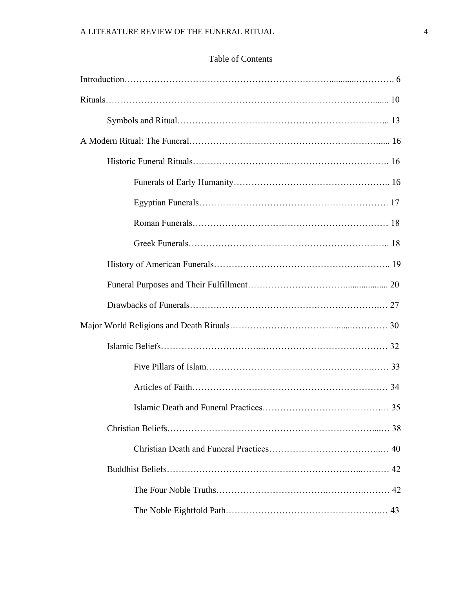### Table of Contents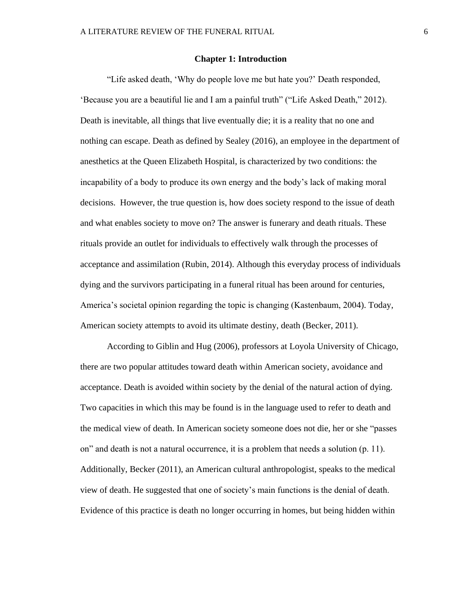#### **Chapter 1: Introduction**

"Life asked death, 'Why do people love me but hate you?' Death responded, 'Because you are a beautiful lie and I am a painful truth" ("Life Asked Death," 2012). Death is inevitable, all things that live eventually die; it is a reality that no one and nothing can escape. Death as defined by Sealey (2016), an employee in the department of anesthetics at the Queen Elizabeth Hospital, is characterized by two conditions: the incapability of a body to produce its own energy and the body's lack of making moral decisions. However, the true question is, how does society respond to the issue of death and what enables society to move on? The answer is funerary and death rituals. These rituals provide an outlet for individuals to effectively walk through the processes of acceptance and assimilation (Rubin, 2014). Although this everyday process of individuals dying and the survivors participating in a funeral ritual has been around for centuries, America's societal opinion regarding the topic is changing (Kastenbaum, 2004). Today, American society attempts to avoid its ultimate destiny, death (Becker, 2011).

According to Giblin and Hug (2006), professors at Loyola University of Chicago, there are two popular attitudes toward death within American society, avoidance and acceptance. Death is avoided within society by the denial of the natural action of dying. Two capacities in which this may be found is in the language used to refer to death and the medical view of death. In American society someone does not die, her or she "passes on" and death is not a natural occurrence, it is a problem that needs a solution (p. 11). Additionally, Becker (2011), an American cultural anthropologist, speaks to the medical view of death. He suggested that one of society's main functions is the denial of death. Evidence of this practice is death no longer occurring in homes, but being hidden within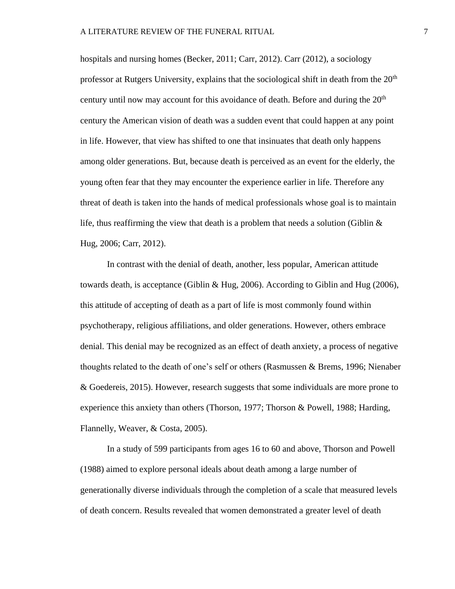hospitals and nursing homes (Becker, 2011; Carr, 2012). Carr (2012), a sociology professor at Rutgers University, explains that the sociological shift in death from the  $20<sup>th</sup>$ century until now may account for this avoidance of death. Before and during the  $20<sup>th</sup>$ century the American vision of death was a sudden event that could happen at any point in life. However, that view has shifted to one that insinuates that death only happens among older generations. But, because death is perceived as an event for the elderly, the young often fear that they may encounter the experience earlier in life. Therefore any threat of death is taken into the hands of medical professionals whose goal is to maintain life, thus reaffirming the view that death is a problem that needs a solution (Giblin  $\&$ Hug, 2006; Carr, 2012).

In contrast with the denial of death, another, less popular, American attitude towards death, is acceptance (Giblin & Hug, 2006). According to Giblin and Hug (2006), this attitude of accepting of death as a part of life is most commonly found within psychotherapy, religious affiliations, and older generations. However, others embrace denial. This denial may be recognized as an effect of death anxiety, a process of negative thoughts related to the death of one's self or others (Rasmussen & Brems, 1996; Nienaber & Goedereis, 2015). However, research suggests that some individuals are more prone to experience this anxiety than others (Thorson, 1977; Thorson & Powell, 1988; Harding, Flannelly, Weaver, & Costa, 2005).

In a study of 599 participants from ages 16 to 60 and above, Thorson and Powell (1988) aimed to explore personal ideals about death among a large number of generationally diverse individuals through the completion of a scale that measured levels of death concern. Results revealed that women demonstrated a greater level of death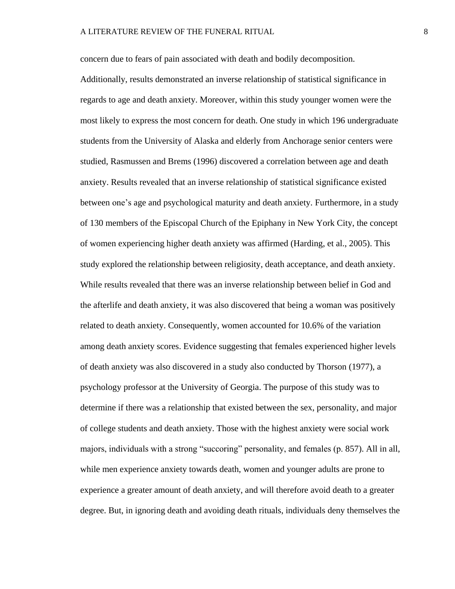concern due to fears of pain associated with death and bodily decomposition.

Additionally, results demonstrated an inverse relationship of statistical significance in regards to age and death anxiety. Moreover, within this study younger women were the most likely to express the most concern for death. One study in which 196 undergraduate students from the University of Alaska and elderly from Anchorage senior centers were studied, Rasmussen and Brems (1996) discovered a correlation between age and death anxiety. Results revealed that an inverse relationship of statistical significance existed between one's age and psychological maturity and death anxiety. Furthermore, in a study of 130 members of the Episcopal Church of the Epiphany in New York City, the concept of women experiencing higher death anxiety was affirmed (Harding, et al., 2005). This study explored the relationship between religiosity, death acceptance, and death anxiety. While results revealed that there was an inverse relationship between belief in God and the afterlife and death anxiety, it was also discovered that being a woman was positively related to death anxiety. Consequently, women accounted for 10.6% of the variation among death anxiety scores. Evidence suggesting that females experienced higher levels of death anxiety was also discovered in a study also conducted by Thorson (1977), a psychology professor at the University of Georgia. The purpose of this study was to determine if there was a relationship that existed between the sex, personality, and major of college students and death anxiety. Those with the highest anxiety were social work majors, individuals with a strong "succoring" personality, and females (p. 857). All in all, while men experience anxiety towards death, women and younger adults are prone to experience a greater amount of death anxiety, and will therefore avoid death to a greater degree. But, in ignoring death and avoiding death rituals, individuals deny themselves the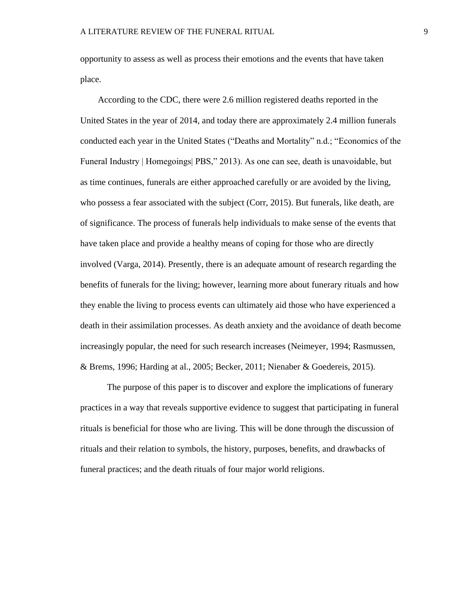opportunity to assess as well as process their emotions and the events that have taken place.

According to the CDC, there were 2.6 million registered deaths reported in the United States in the year of 2014, and today there are approximately 2.4 million funerals conducted each year in the United States ("Deaths and Mortality" n.d.; "Economics of the Funeral Industry | Homegoings| PBS," 2013). As one can see, death is unavoidable, but as time continues, funerals are either approached carefully or are avoided by the living, who possess a fear associated with the subject (Corr, 2015). But funerals, like death, are of significance. The process of funerals help individuals to make sense of the events that have taken place and provide a healthy means of coping for those who are directly involved (Varga, 2014). Presently, there is an adequate amount of research regarding the benefits of funerals for the living; however, learning more about funerary rituals and how they enable the living to process events can ultimately aid those who have experienced a death in their assimilation processes. As death anxiety and the avoidance of death become increasingly popular, the need for such research increases (Neimeyer, 1994; Rasmussen, & Brems, 1996; Harding at al., 2005; Becker, 2011; Nienaber & Goedereis, 2015).

The purpose of this paper is to discover and explore the implications of funerary practices in a way that reveals supportive evidence to suggest that participating in funeral rituals is beneficial for those who are living. This will be done through the discussion of rituals and their relation to symbols, the history, purposes, benefits, and drawbacks of funeral practices; and the death rituals of four major world religions.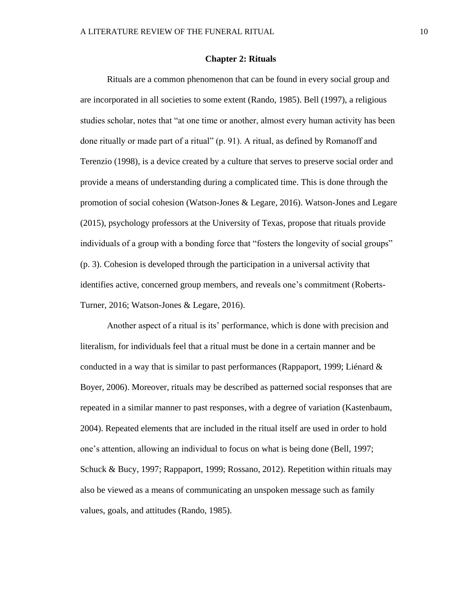#### **Chapter 2: Rituals**

Rituals are a common phenomenon that can be found in every social group and are incorporated in all societies to some extent (Rando, 1985). Bell (1997), a religious studies scholar, notes that "at one time or another, almost every human activity has been done ritually or made part of a ritual" (p. 91). A ritual, as defined by Romanoff and Terenzio (1998), is a device created by a culture that serves to preserve social order and provide a means of understanding during a complicated time. This is done through the promotion of social cohesion (Watson-Jones & Legare, 2016). Watson-Jones and Legare (2015), psychology professors at the University of Texas, propose that rituals provide individuals of a group with a bonding force that "fosters the longevity of social groups" (p. 3). Cohesion is developed through the participation in a universal activity that identifies active, concerned group members, and reveals one's commitment (Roberts-Turner, 2016; Watson-Jones & Legare, 2016).

Another aspect of a ritual is its' performance, which is done with precision and literalism, for individuals feel that a ritual must be done in a certain manner and be conducted in a way that is similar to past performances (Rappaport, 1999; Liénard  $\&$ Boyer, 2006). Moreover, rituals may be described as patterned social responses that are repeated in a similar manner to past responses, with a degree of variation (Kastenbaum, 2004). Repeated elements that are included in the ritual itself are used in order to hold one's attention, allowing an individual to focus on what is being done (Bell, 1997; Schuck & Bucy, 1997; Rappaport, 1999; Rossano, 2012). Repetition within rituals may also be viewed as a means of communicating an unspoken message such as family values, goals, and attitudes (Rando, 1985).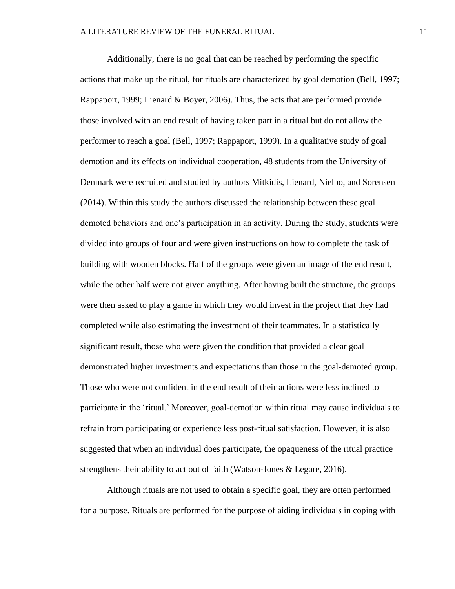Additionally, there is no goal that can be reached by performing the specific actions that make up the ritual, for rituals are characterized by goal demotion (Bell, 1997; Rappaport, 1999; Lienard & Boyer, 2006). Thus, the acts that are performed provide those involved with an end result of having taken part in a ritual but do not allow the performer to reach a goal (Bell, 1997; Rappaport, 1999). In a qualitative study of goal demotion and its effects on individual cooperation, 48 students from the University of Denmark were recruited and studied by authors Mitkidis, Lienard, Nielbo, and Sorensen (2014). Within this study the authors discussed the relationship between these goal demoted behaviors and one's participation in an activity. During the study, students were divided into groups of four and were given instructions on how to complete the task of building with wooden blocks. Half of the groups were given an image of the end result, while the other half were not given anything. After having built the structure, the groups were then asked to play a game in which they would invest in the project that they had completed while also estimating the investment of their teammates. In a statistically significant result, those who were given the condition that provided a clear goal demonstrated higher investments and expectations than those in the goal-demoted group. Those who were not confident in the end result of their actions were less inclined to participate in the 'ritual.' Moreover, goal-demotion within ritual may cause individuals to refrain from participating or experience less post-ritual satisfaction. However, it is also suggested that when an individual does participate, the opaqueness of the ritual practice strengthens their ability to act out of faith (Watson-Jones & Legare, 2016).

Although rituals are not used to obtain a specific goal, they are often performed for a purpose. Rituals are performed for the purpose of aiding individuals in coping with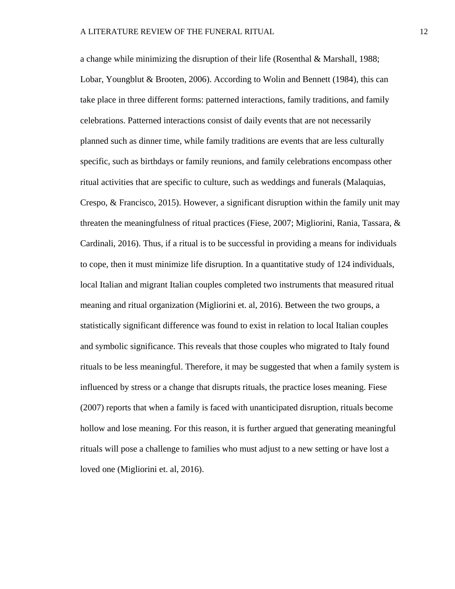a change while minimizing the disruption of their life (Rosenthal  $\&$  Marshall, 1988; Lobar, Youngblut & Brooten, 2006). According to Wolin and Bennett (1984), this can take place in three different forms: patterned interactions, family traditions, and family celebrations. Patterned interactions consist of daily events that are not necessarily planned such as dinner time, while family traditions are events that are less culturally specific, such as birthdays or family reunions, and family celebrations encompass other ritual activities that are specific to culture, such as weddings and funerals (Malaquias, Crespo, & Francisco, 2015). However, a significant disruption within the family unit may threaten the meaningfulness of ritual practices (Fiese, 2007; Migliorini, Rania, Tassara, & Cardinali, 2016). Thus, if a ritual is to be successful in providing a means for individuals to cope, then it must minimize life disruption. In a quantitative study of 124 individuals, local Italian and migrant Italian couples completed two instruments that measured ritual meaning and ritual organization (Migliorini et. al, 2016). Between the two groups, a statistically significant difference was found to exist in relation to local Italian couples and symbolic significance. This reveals that those couples who migrated to Italy found rituals to be less meaningful. Therefore, it may be suggested that when a family system is influenced by stress or a change that disrupts rituals, the practice loses meaning. Fiese (2007) reports that when a family is faced with unanticipated disruption, rituals become hollow and lose meaning. For this reason, it is further argued that generating meaningful rituals will pose a challenge to families who must adjust to a new setting or have lost a loved one (Migliorini et. al, 2016).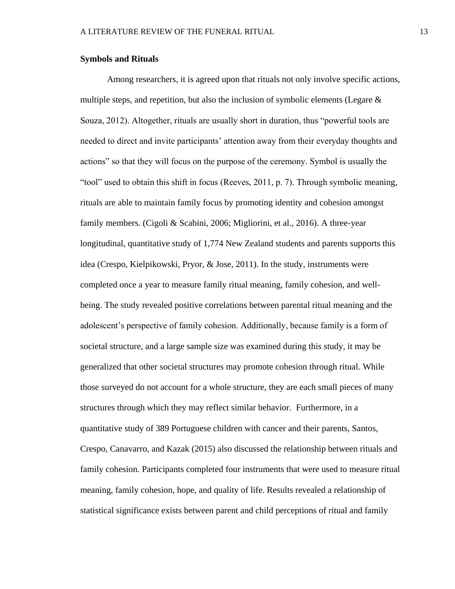#### **Symbols and Rituals**

Among researchers, it is agreed upon that rituals not only involve specific actions, multiple steps, and repetition, but also the inclusion of symbolic elements (Legare  $\&$ Souza, 2012). Altogether, rituals are usually short in duration, thus "powerful tools are needed to direct and invite participants' attention away from their everyday thoughts and actions" so that they will focus on the purpose of the ceremony. Symbol is usually the "tool" used to obtain this shift in focus (Reeves, 2011, p. 7). Through symbolic meaning, rituals are able to maintain family focus by promoting identity and cohesion amongst family members. (Cigoli & Scabini, 2006; Migliorini, et al., 2016). A three-year longitudinal, quantitative study of 1,774 New Zealand students and parents supports this idea (Crespo, Kielpikowski, Pryor, & Jose, 2011). In the study, instruments were completed once a year to measure family ritual meaning, family cohesion, and wellbeing. The study revealed positive correlations between parental ritual meaning and the adolescent's perspective of family cohesion. Additionally, because family is a form of societal structure, and a large sample size was examined during this study, it may be generalized that other societal structures may promote cohesion through ritual. While those surveyed do not account for a whole structure, they are each small pieces of many structures through which they may reflect similar behavior. Furthermore, in a quantitative study of 389 Portuguese children with cancer and their parents, Santos, Crespo, Canavarro, and Kazak (2015) also discussed the relationship between rituals and family cohesion. Participants completed four instruments that were used to measure ritual meaning, family cohesion, hope, and quality of life. Results revealed a relationship of statistical significance exists between parent and child perceptions of ritual and family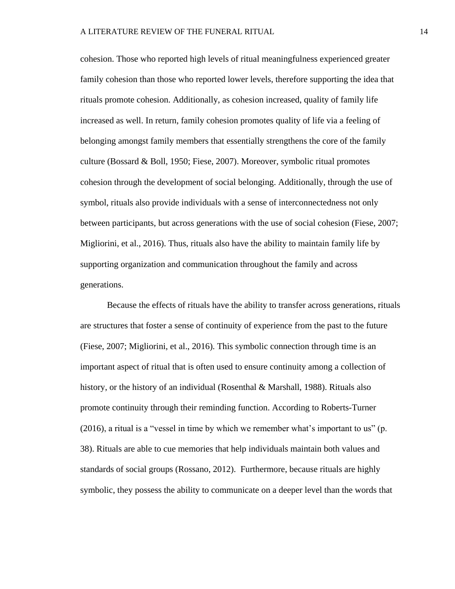cohesion. Those who reported high levels of ritual meaningfulness experienced greater family cohesion than those who reported lower levels, therefore supporting the idea that rituals promote cohesion. Additionally, as cohesion increased, quality of family life increased as well. In return, family cohesion promotes quality of life via a feeling of belonging amongst family members that essentially strengthens the core of the family culture (Bossard & Boll, 1950; Fiese, 2007). Moreover, symbolic ritual promotes cohesion through the development of social belonging. Additionally, through the use of symbol, rituals also provide individuals with a sense of interconnectedness not only between participants, but across generations with the use of social cohesion (Fiese, 2007; Migliorini, et al., 2016). Thus, rituals also have the ability to maintain family life by supporting organization and communication throughout the family and across generations.

Because the effects of rituals have the ability to transfer across generations, rituals are structures that foster a sense of continuity of experience from the past to the future (Fiese, 2007; Migliorini, et al., 2016). This symbolic connection through time is an important aspect of ritual that is often used to ensure continuity among a collection of history, or the history of an individual (Rosenthal & Marshall, 1988). Rituals also promote continuity through their reminding function. According to Roberts-Turner (2016), a ritual is a "vessel in time by which we remember what's important to us" (p. 38). Rituals are able to cue memories that help individuals maintain both values and standards of social groups (Rossano, 2012). Furthermore, because rituals are highly symbolic, they possess the ability to communicate on a deeper level than the words that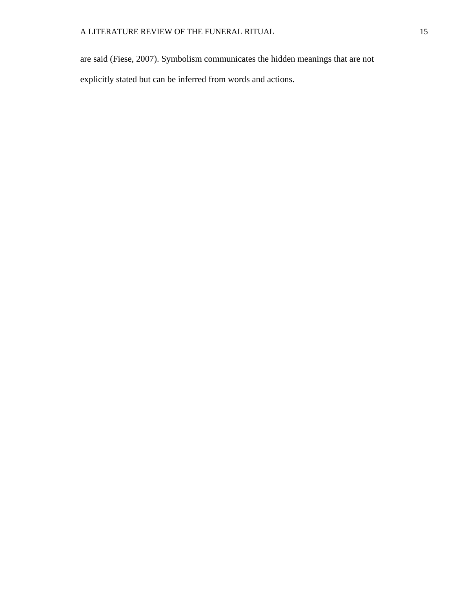are said (Fiese, 2007). Symbolism communicates the hidden meanings that are not explicitly stated but can be inferred from words and actions.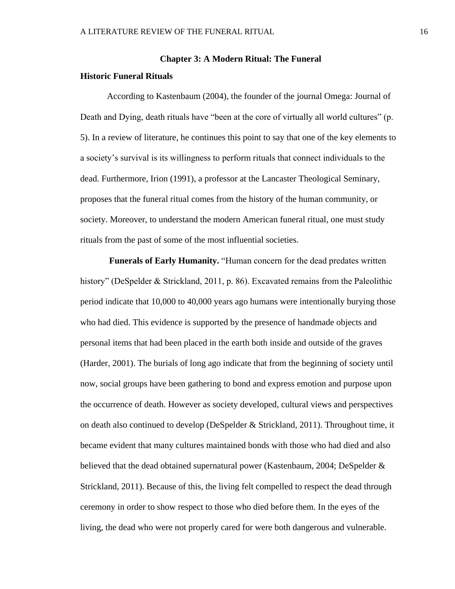#### **Chapter 3: A Modern Ritual: The Funeral**

#### **Historic Funeral Rituals**

According to Kastenbaum (2004), the founder of the journal Omega: Journal of Death and Dying, death rituals have "been at the core of virtually all world cultures" (p. 5). In a review of literature, he continues this point to say that one of the key elements to a society's survival is its willingness to perform rituals that connect individuals to the dead. Furthermore, Irion (1991), a professor at the Lancaster Theological Seminary, proposes that the funeral ritual comes from the history of the human community, or society. Moreover, to understand the modern American funeral ritual, one must study rituals from the past of some of the most influential societies.

**Funerals of Early Humanity.** "Human concern for the dead predates written history" (DeSpelder & Strickland, 2011, p. 86). Excavated remains from the Paleolithic period indicate that 10,000 to 40,000 years ago humans were intentionally burying those who had died. This evidence is supported by the presence of handmade objects and personal items that had been placed in the earth both inside and outside of the graves (Harder, 2001). The burials of long ago indicate that from the beginning of society until now, social groups have been gathering to bond and express emotion and purpose upon the occurrence of death. However as society developed, cultural views and perspectives on death also continued to develop (DeSpelder & Strickland, 2011). Throughout time, it became evident that many cultures maintained bonds with those who had died and also believed that the dead obtained supernatural power (Kastenbaum, 2004; DeSpelder & Strickland, 2011). Because of this, the living felt compelled to respect the dead through ceremony in order to show respect to those who died before them. In the eyes of the living, the dead who were not properly cared for were both dangerous and vulnerable.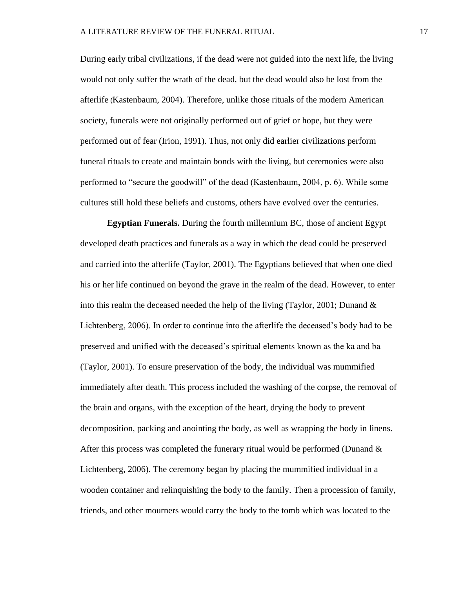During early tribal civilizations, if the dead were not guided into the next life, the living would not only suffer the wrath of the dead, but the dead would also be lost from the afterlife (Kastenbaum, 2004). Therefore, unlike those rituals of the modern American society, funerals were not originally performed out of grief or hope, but they were performed out of fear (Irion, 1991). Thus, not only did earlier civilizations perform funeral rituals to create and maintain bonds with the living, but ceremonies were also performed to "secure the goodwill" of the dead (Kastenbaum, 2004, p. 6). While some cultures still hold these beliefs and customs, others have evolved over the centuries.

**Egyptian Funerals.** During the fourth millennium BC, those of ancient Egypt developed death practices and funerals as a way in which the dead could be preserved and carried into the afterlife (Taylor, 2001). The Egyptians believed that when one died his or her life continued on beyond the grave in the realm of the dead. However, to enter into this realm the deceased needed the help of the living (Taylor, 2001; Dunand  $\&$ Lichtenberg, 2006). In order to continue into the afterlife the deceased's body had to be preserved and unified with the deceased's spiritual elements known as the ka and ba (Taylor, 2001). To ensure preservation of the body, the individual was mummified immediately after death. This process included the washing of the corpse, the removal of the brain and organs, with the exception of the heart, drying the body to prevent decomposition, packing and anointing the body, as well as wrapping the body in linens. After this process was completed the funerary ritual would be performed (Dunand  $\&$ Lichtenberg, 2006). The ceremony began by placing the mummified individual in a wooden container and relinquishing the body to the family. Then a procession of family, friends, and other mourners would carry the body to the tomb which was located to the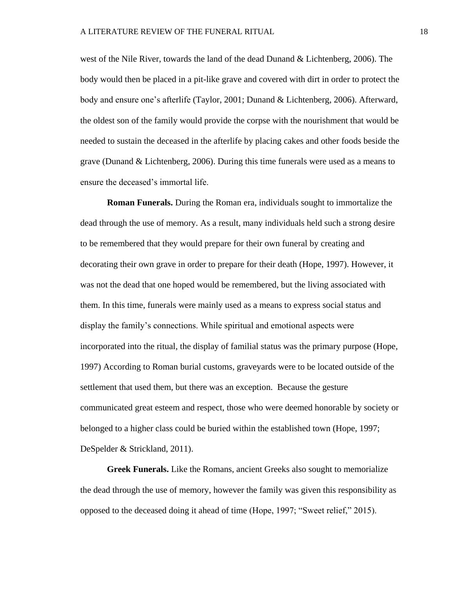west of the Nile River, towards the land of the dead Dunand & Lichtenberg, 2006). The body would then be placed in a pit-like grave and covered with dirt in order to protect the body and ensure one's afterlife (Taylor, 2001; Dunand & Lichtenberg, 2006). Afterward, the oldest son of the family would provide the corpse with the nourishment that would be needed to sustain the deceased in the afterlife by placing cakes and other foods beside the grave (Dunand & Lichtenberg, 2006). During this time funerals were used as a means to ensure the deceased's immortal life.

**Roman Funerals.** During the Roman era, individuals sought to immortalize the dead through the use of memory. As a result, many individuals held such a strong desire to be remembered that they would prepare for their own funeral by creating and decorating their own grave in order to prepare for their death (Hope, 1997). However, it was not the dead that one hoped would be remembered, but the living associated with them. In this time, funerals were mainly used as a means to express social status and display the family's connections. While spiritual and emotional aspects were incorporated into the ritual, the display of familial status was the primary purpose (Hope, 1997) According to Roman burial customs, graveyards were to be located outside of the settlement that used them, but there was an exception. Because the gesture communicated great esteem and respect, those who were deemed honorable by society or belonged to a higher class could be buried within the established town (Hope, 1997; DeSpelder & Strickland, 2011).

**Greek Funerals.** Like the Romans, ancient Greeks also sought to memorialize the dead through the use of memory, however the family was given this responsibility as opposed to the deceased doing it ahead of time (Hope, 1997; "Sweet relief," 2015).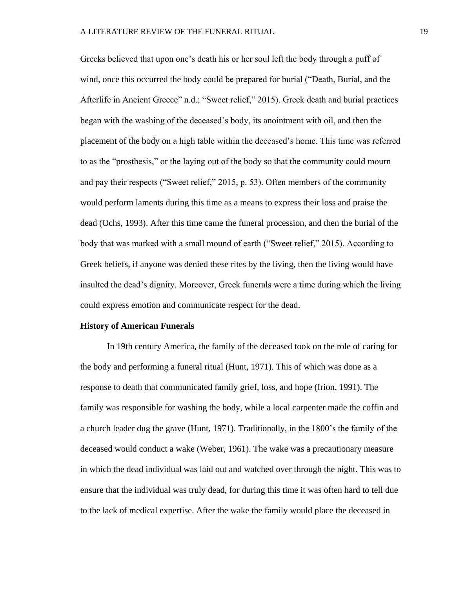Greeks believed that upon one's death his or her soul left the body through a puff of wind, once this occurred the body could be prepared for burial ("Death, Burial, and the Afterlife in Ancient Greece" n.d.; "Sweet relief," 2015). Greek death and burial practices began with the washing of the deceased's body, its anointment with oil, and then the placement of the body on a high table within the deceased's home. This time was referred to as the "prosthesis," or the laying out of the body so that the community could mourn and pay their respects ("Sweet relief," 2015, p. 53). Often members of the community would perform laments during this time as a means to express their loss and praise the dead (Ochs, 1993). After this time came the funeral procession, and then the burial of the body that was marked with a small mound of earth ("Sweet relief," 2015). According to Greek beliefs, if anyone was denied these rites by the living, then the living would have insulted the dead's dignity. Moreover, Greek funerals were a time during which the living could express emotion and communicate respect for the dead.

#### **History of American Funerals**

In 19th century America, the family of the deceased took on the role of caring for the body and performing a funeral ritual (Hunt, 1971). This of which was done as a response to death that communicated family grief, loss, and hope (Irion, 1991). The family was responsible for washing the body, while a local carpenter made the coffin and a church leader dug the grave (Hunt, 1971). Traditionally, in the 1800's the family of the deceased would conduct a wake (Weber, 1961). The wake was a precautionary measure in which the dead individual was laid out and watched over through the night. This was to ensure that the individual was truly dead, for during this time it was often hard to tell due to the lack of medical expertise. After the wake the family would place the deceased in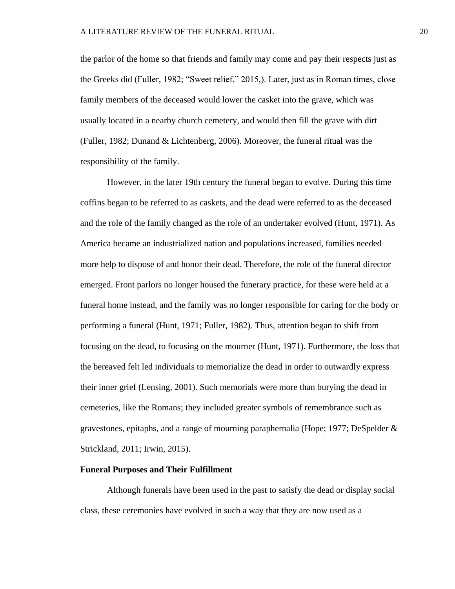the parlor of the home so that friends and family may come and pay their respects just as the Greeks did (Fuller, 1982; "Sweet relief," 2015,). Later, just as in Roman times, close family members of the deceased would lower the casket into the grave, which was usually located in a nearby church cemetery, and would then fill the grave with dirt (Fuller, 1982; Dunand & Lichtenberg, 2006). Moreover, the funeral ritual was the responsibility of the family.

However, in the later 19th century the funeral began to evolve. During this time coffins began to be referred to as caskets, and the dead were referred to as the deceased and the role of the family changed as the role of an undertaker evolved (Hunt, 1971). As America became an industrialized nation and populations increased, families needed more help to dispose of and honor their dead. Therefore, the role of the funeral director emerged. Front parlors no longer housed the funerary practice, for these were held at a funeral home instead, and the family was no longer responsible for caring for the body or performing a funeral (Hunt, 1971; Fuller, 1982). Thus, attention began to shift from focusing on the dead, to focusing on the mourner (Hunt, 1971). Furthermore, the loss that the bereaved felt led individuals to memorialize the dead in order to outwardly express their inner grief (Lensing, 2001). Such memorials were more than burying the dead in cemeteries, like the Romans; they included greater symbols of remembrance such as gravestones, epitaphs, and a range of mourning paraphernalia (Hope; 1977; DeSpelder & Strickland, 2011; Irwin, 2015).

#### **Funeral Purposes and Their Fulfillment**

Although funerals have been used in the past to satisfy the dead or display social class, these ceremonies have evolved in such a way that they are now used as a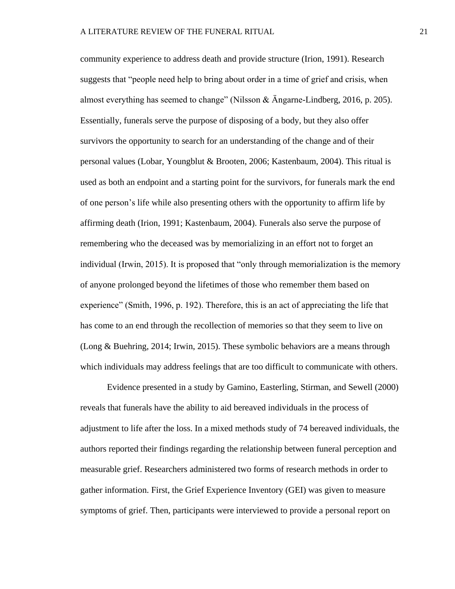community experience to address death and provide structure (Irion, 1991). Research suggests that "people need help to bring about order in a time of grief and crisis, when almost everything has seemed to change" (Nilsson & Ängarne-Lindberg, 2016, p. 205). Essentially, funerals serve the purpose of disposing of a body, but they also offer survivors the opportunity to search for an understanding of the change and of their personal values (Lobar, Youngblut & Brooten, 2006; Kastenbaum, 2004). This ritual is used as both an endpoint and a starting point for the survivors, for funerals mark the end of one person's life while also presenting others with the opportunity to affirm life by affirming death (Irion, 1991; Kastenbaum, 2004). Funerals also serve the purpose of remembering who the deceased was by memorializing in an effort not to forget an individual (Irwin, 2015). It is proposed that "only through memorialization is the memory of anyone prolonged beyond the lifetimes of those who remember them based on experience" (Smith, 1996, p. 192). Therefore, this is an act of appreciating the life that has come to an end through the recollection of memories so that they seem to live on (Long & Buehring, 2014; Irwin, 2015). These symbolic behaviors are a means through which individuals may address feelings that are too difficult to communicate with others.

Evidence presented in a study by Gamino, Easterling, Stirman, and Sewell (2000) reveals that funerals have the ability to aid bereaved individuals in the process of adjustment to life after the loss. In a mixed methods study of 74 bereaved individuals, the authors reported their findings regarding the relationship between funeral perception and measurable grief. Researchers administered two forms of research methods in order to gather information. First, the Grief Experience Inventory (GEI) was given to measure symptoms of grief. Then, participants were interviewed to provide a personal report on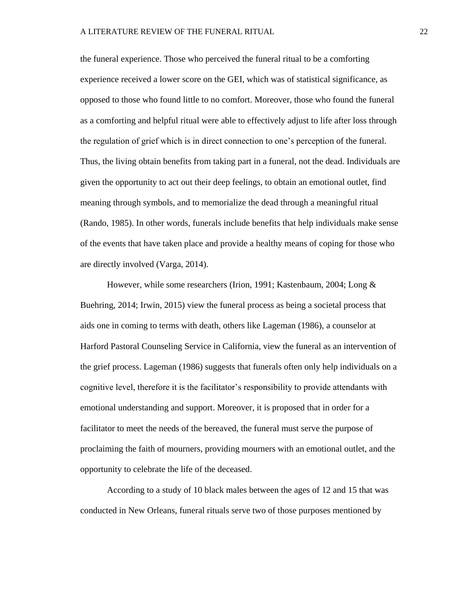the funeral experience. Those who perceived the funeral ritual to be a comforting experience received a lower score on the GEI, which was of statistical significance, as opposed to those who found little to no comfort. Moreover, those who found the funeral as a comforting and helpful ritual were able to effectively adjust to life after loss through the regulation of grief which is in direct connection to one's perception of the funeral. Thus, the living obtain benefits from taking part in a funeral, not the dead. Individuals are given the opportunity to act out their deep feelings, to obtain an emotional outlet, find meaning through symbols, and to memorialize the dead through a meaningful ritual (Rando, 1985). In other words, funerals include benefits that help individuals make sense of the events that have taken place and provide a healthy means of coping for those who are directly involved (Varga, 2014).

However, while some researchers (Irion, 1991; Kastenbaum, 2004; Long & Buehring, 2014; Irwin, 2015) view the funeral process as being a societal process that aids one in coming to terms with death, others like Lageman (1986), a counselor at Harford Pastoral Counseling Service in California, view the funeral as an intervention of the grief process. Lageman (1986) suggests that funerals often only help individuals on a cognitive level, therefore it is the facilitator's responsibility to provide attendants with emotional understanding and support. Moreover, it is proposed that in order for a facilitator to meet the needs of the bereaved, the funeral must serve the purpose of proclaiming the faith of mourners, providing mourners with an emotional outlet, and the opportunity to celebrate the life of the deceased.

According to a study of 10 black males between the ages of 12 and 15 that was conducted in New Orleans, funeral rituals serve two of those purposes mentioned by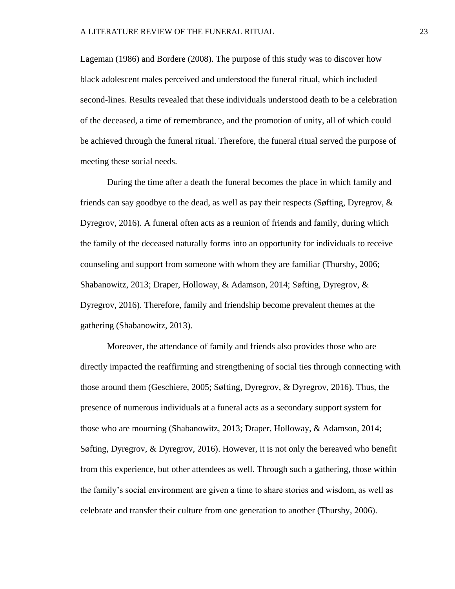Lageman (1986) and Bordere (2008). The purpose of this study was to discover how black adolescent males perceived and understood the funeral ritual, which included second-lines. Results revealed that these individuals understood death to be a celebration of the deceased, a time of remembrance, and the promotion of unity, all of which could be achieved through the funeral ritual. Therefore, the funeral ritual served the purpose of meeting these social needs.

During the time after a death the funeral becomes the place in which family and friends can say goodbye to the dead, as well as pay their respects (Søfting, Dyregrov, & Dyregrov, 2016). A funeral often acts as a reunion of friends and family, during which the family of the deceased naturally forms into an opportunity for individuals to receive counseling and support from someone with whom they are familiar (Thursby, 2006; Shabanowitz, 2013; Draper, Holloway, & Adamson, 2014; Søfting, Dyregrov, & Dyregrov, 2016). Therefore, family and friendship become prevalent themes at the gathering (Shabanowitz, 2013).

Moreover, the attendance of family and friends also provides those who are directly impacted the reaffirming and strengthening of social ties through connecting with those around them (Geschiere, 2005; Søfting, Dyregrov, & Dyregrov, 2016). Thus, the presence of numerous individuals at a funeral acts as a secondary support system for those who are mourning (Shabanowitz, 2013; Draper, Holloway, & Adamson, 2014; Søfting, Dyregrov, & Dyregrov, 2016). However, it is not only the bereaved who benefit from this experience, but other attendees as well. Through such a gathering, those within the family's social environment are given a time to share stories and wisdom, as well as celebrate and transfer their culture from one generation to another (Thursby, 2006).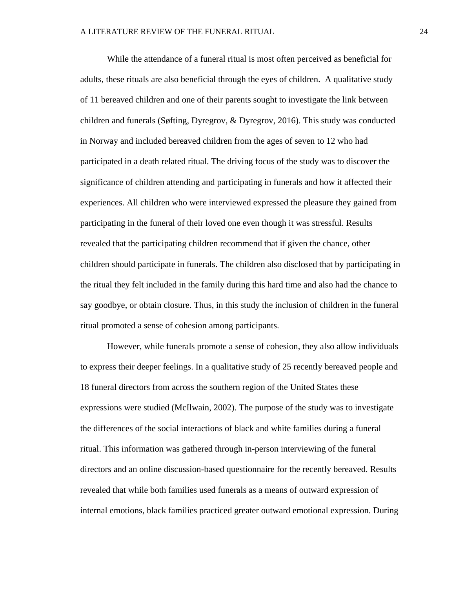While the attendance of a funeral ritual is most often perceived as beneficial for adults, these rituals are also beneficial through the eyes of children. A qualitative study of 11 bereaved children and one of their parents sought to investigate the link between children and funerals (Søfting, Dyregrov, & Dyregrov, 2016). This study was conducted in Norway and included bereaved children from the ages of seven to 12 who had participated in a death related ritual. The driving focus of the study was to discover the significance of children attending and participating in funerals and how it affected their experiences. All children who were interviewed expressed the pleasure they gained from participating in the funeral of their loved one even though it was stressful. Results revealed that the participating children recommend that if given the chance, other children should participate in funerals. The children also disclosed that by participating in the ritual they felt included in the family during this hard time and also had the chance to say goodbye, or obtain closure. Thus, in this study the inclusion of children in the funeral ritual promoted a sense of cohesion among participants.

However, while funerals promote a sense of cohesion, they also allow individuals to express their deeper feelings. In a qualitative study of 25 recently bereaved people and 18 funeral directors from across the southern region of the United States these expressions were studied (McIlwain, 2002). The purpose of the study was to investigate the differences of the social interactions of black and white families during a funeral ritual. This information was gathered through in-person interviewing of the funeral directors and an online discussion-based questionnaire for the recently bereaved. Results revealed that while both families used funerals as a means of outward expression of internal emotions, black families practiced greater outward emotional expression. During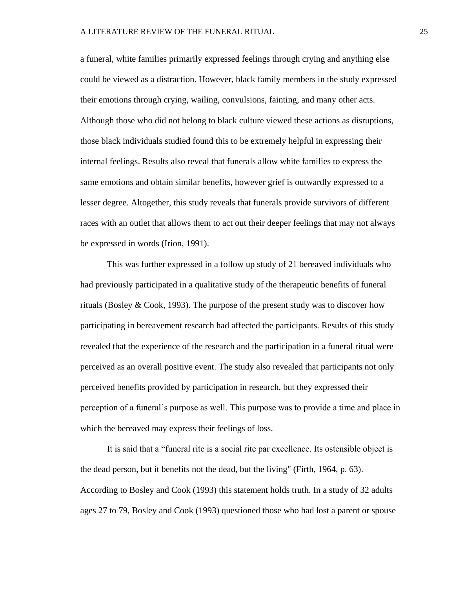a funeral, white families primarily expressed feelings through crying and anything else could be viewed as a distraction. However, black family members in the study expressed their emotions through crying, wailing, convulsions, fainting, and many other acts. Although those who did not belong to black culture viewed these actions as disruptions, those black individuals studied found this to be extremely helpful in expressing their internal feelings. Results also reveal that funerals allow white families to express the same emotions and obtain similar benefits, however grief is outwardly expressed to a lesser degree. Altogether, this study reveals that funerals provide survivors of different races with an outlet that allows them to act out their deeper feelings that may not always be expressed in words (Irion, 1991).

This was further expressed in a follow up study of 21 bereaved individuals who had previously participated in a qualitative study of the therapeutic benefits of funeral rituals (Bosley & Cook, 1993). The purpose of the present study was to discover how participating in bereavement research had affected the participants. Results of this study revealed that the experience of the research and the participation in a funeral ritual were perceived as an overall positive event. The study also revealed that participants not only perceived benefits provided by participation in research, but they expressed their perception of a funeral's purpose as well. This purpose was to provide a time and place in which the bereaved may express their feelings of loss.

It is said that a "funeral rite is a social rite par excellence. Its ostensible object is the dead person, but it benefits not the dead, but the living" (Firth, 1964, p. 63). According to Bosley and Cook (1993) this statement holds truth. In a study of 32 adults ages 27 to 79, Bosley and Cook (1993) questioned those who had lost a parent or spouse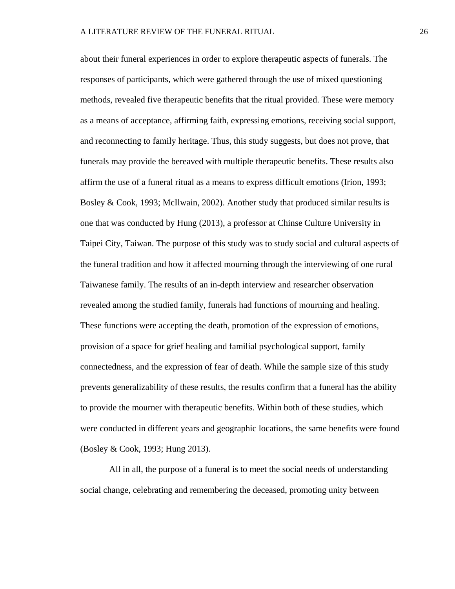about their funeral experiences in order to explore therapeutic aspects of funerals. The responses of participants, which were gathered through the use of mixed questioning methods, revealed five therapeutic benefits that the ritual provided. These were memory as a means of acceptance, affirming faith, expressing emotions, receiving social support, and reconnecting to family heritage. Thus, this study suggests, but does not prove, that funerals may provide the bereaved with multiple therapeutic benefits. These results also affirm the use of a funeral ritual as a means to express difficult emotions (Irion, 1993; Bosley & Cook, 1993; McIlwain, 2002). Another study that produced similar results is one that was conducted by Hung (2013), a professor at Chinse Culture University in Taipei City, Taiwan. The purpose of this study was to study social and cultural aspects of the funeral tradition and how it affected mourning through the interviewing of one rural Taiwanese family. The results of an in-depth interview and researcher observation revealed among the studied family, funerals had functions of mourning and healing. These functions were accepting the death, promotion of the expression of emotions, provision of a space for grief healing and familial psychological support, family connectedness, and the expression of fear of death. While the sample size of this study prevents generalizability of these results, the results confirm that a funeral has the ability to provide the mourner with therapeutic benefits. Within both of these studies, which were conducted in different years and geographic locations, the same benefits were found (Bosley & Cook, 1993; Hung 2013).

All in all, the purpose of a funeral is to meet the social needs of understanding social change, celebrating and remembering the deceased, promoting unity between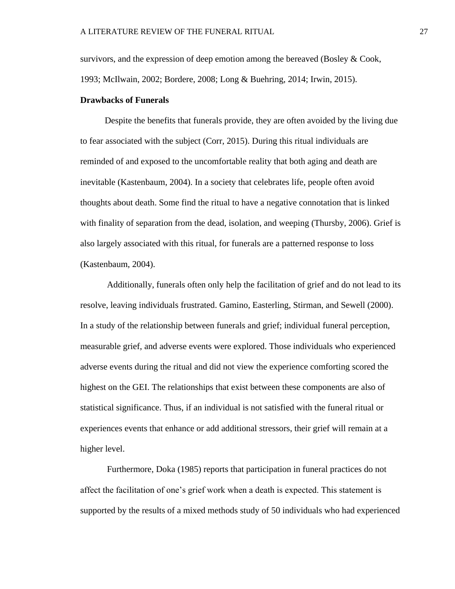survivors, and the expression of deep emotion among the bereaved (Bosley  $& Cook$ , 1993; McIlwain, 2002; Bordere, 2008; Long & Buehring, 2014; Irwin, 2015).

#### **Drawbacks of Funerals**

 Despite the benefits that funerals provide, they are often avoided by the living due to fear associated with the subject (Corr, 2015). During this ritual individuals are reminded of and exposed to the uncomfortable reality that both aging and death are inevitable (Kastenbaum, 2004). In a society that celebrates life, people often avoid thoughts about death. Some find the ritual to have a negative connotation that is linked with finality of separation from the dead, isolation, and weeping (Thursby, 2006). Grief is also largely associated with this ritual, for funerals are a patterned response to loss (Kastenbaum, 2004).

Additionally, funerals often only help the facilitation of grief and do not lead to its resolve, leaving individuals frustrated. Gamino, Easterling, Stirman, and Sewell (2000). In a study of the relationship between funerals and grief; individual funeral perception, measurable grief, and adverse events were explored. Those individuals who experienced adverse events during the ritual and did not view the experience comforting scored the highest on the GEI. The relationships that exist between these components are also of statistical significance. Thus, if an individual is not satisfied with the funeral ritual or experiences events that enhance or add additional stressors, their grief will remain at a higher level.

Furthermore, Doka (1985) reports that participation in funeral practices do not affect the facilitation of one's grief work when a death is expected. This statement is supported by the results of a mixed methods study of 50 individuals who had experienced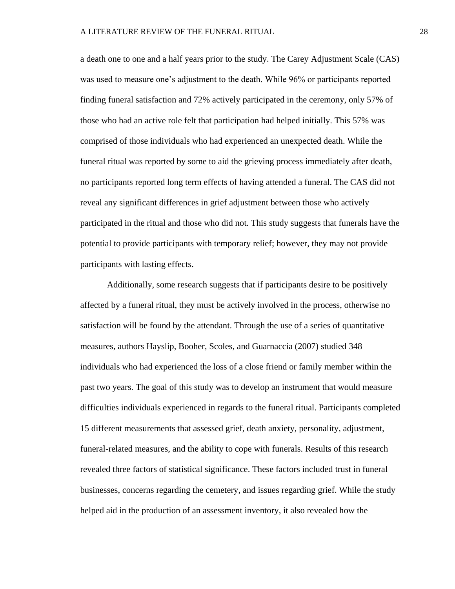a death one to one and a half years prior to the study. The Carey Adjustment Scale (CAS) was used to measure one's adjustment to the death. While 96% or participants reported finding funeral satisfaction and 72% actively participated in the ceremony, only 57% of those who had an active role felt that participation had helped initially. This 57% was comprised of those individuals who had experienced an unexpected death. While the funeral ritual was reported by some to aid the grieving process immediately after death, no participants reported long term effects of having attended a funeral. The CAS did not reveal any significant differences in grief adjustment between those who actively participated in the ritual and those who did not. This study suggests that funerals have the potential to provide participants with temporary relief; however, they may not provide participants with lasting effects.

Additionally, some research suggests that if participants desire to be positively affected by a funeral ritual, they must be actively involved in the process, otherwise no satisfaction will be found by the attendant. Through the use of a series of quantitative measures, authors Hayslip, Booher, Scoles, and Guarnaccia (2007) studied 348 individuals who had experienced the loss of a close friend or family member within the past two years. The goal of this study was to develop an instrument that would measure difficulties individuals experienced in regards to the funeral ritual. Participants completed 15 different measurements that assessed grief, death anxiety, personality, adjustment, funeral-related measures, and the ability to cope with funerals. Results of this research revealed three factors of statistical significance. These factors included trust in funeral businesses, concerns regarding the cemetery, and issues regarding grief. While the study helped aid in the production of an assessment inventory, it also revealed how the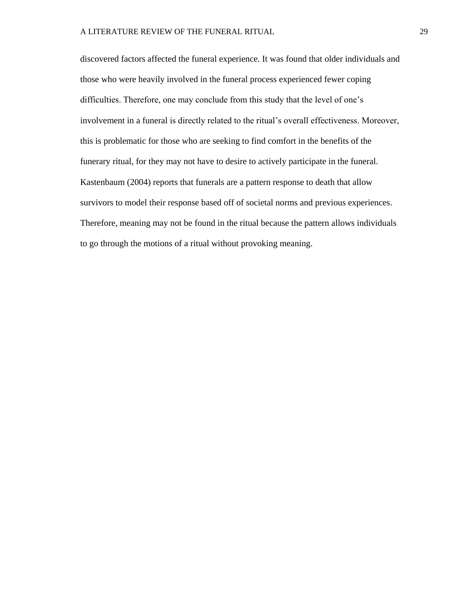discovered factors affected the funeral experience. It was found that older individuals and those who were heavily involved in the funeral process experienced fewer coping difficulties. Therefore, one may conclude from this study that the level of one's involvement in a funeral is directly related to the ritual's overall effectiveness. Moreover, this is problematic for those who are seeking to find comfort in the benefits of the funerary ritual, for they may not have to desire to actively participate in the funeral. Kastenbaum (2004) reports that funerals are a pattern response to death that allow survivors to model their response based off of societal norms and previous experiences. Therefore, meaning may not be found in the ritual because the pattern allows individuals to go through the motions of a ritual without provoking meaning.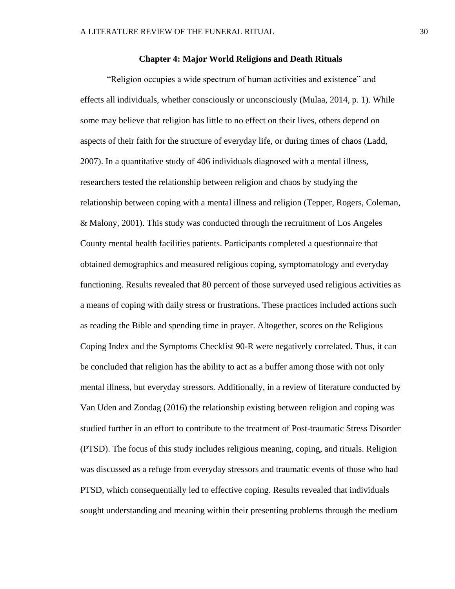#### **Chapter 4: Major World Religions and Death Rituals**

"Religion occupies a wide spectrum of human activities and existence" and effects all individuals, whether consciously or unconsciously (Mulaa, 2014, p. 1). While some may believe that religion has little to no effect on their lives, others depend on aspects of their faith for the structure of everyday life, or during times of chaos (Ladd, 2007). In a quantitative study of 406 individuals diagnosed with a mental illness, researchers tested the relationship between religion and chaos by studying the relationship between coping with a mental illness and religion (Tepper, Rogers, Coleman, & Malony, 2001). This study was conducted through the recruitment of Los Angeles County mental health facilities patients. Participants completed a questionnaire that obtained demographics and measured religious coping, symptomatology and everyday functioning. Results revealed that 80 percent of those surveyed used religious activities as a means of coping with daily stress or frustrations. These practices included actions such as reading the Bible and spending time in prayer. Altogether, scores on the Religious Coping Index and the Symptoms Checklist 90-R were negatively correlated. Thus, it can be concluded that religion has the ability to act as a buffer among those with not only mental illness, but everyday stressors. Additionally, in a review of literature conducted by Van Uden and Zondag (2016) the relationship existing between religion and coping was studied further in an effort to contribute to the treatment of Post-traumatic Stress Disorder (PTSD). The focus of this study includes religious meaning, coping, and rituals. Religion was discussed as a refuge from everyday stressors and traumatic events of those who had PTSD, which consequentially led to effective coping. Results revealed that individuals sought understanding and meaning within their presenting problems through the medium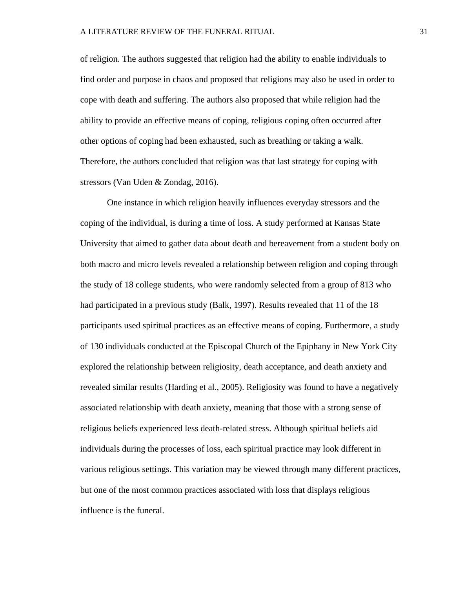of religion. The authors suggested that religion had the ability to enable individuals to find order and purpose in chaos and proposed that religions may also be used in order to cope with death and suffering. The authors also proposed that while religion had the ability to provide an effective means of coping, religious coping often occurred after other options of coping had been exhausted, such as breathing or taking a walk. Therefore, the authors concluded that religion was that last strategy for coping with stressors (Van Uden & Zondag, 2016).

One instance in which religion heavily influences everyday stressors and the coping of the individual, is during a time of loss. A study performed at Kansas State University that aimed to gather data about death and bereavement from a student body on both macro and micro levels revealed a relationship between religion and coping through the study of 18 college students, who were randomly selected from a group of 813 who had participated in a previous study (Balk, 1997). Results revealed that 11 of the 18 participants used spiritual practices as an effective means of coping. Furthermore, a study of 130 individuals conducted at the Episcopal Church of the Epiphany in New York City explored the relationship between religiosity, death acceptance, and death anxiety and revealed similar results (Harding et al., 2005). Religiosity was found to have a negatively associated relationship with death anxiety, meaning that those with a strong sense of religious beliefs experienced less death-related stress. Although spiritual beliefs aid individuals during the processes of loss, each spiritual practice may look different in various religious settings. This variation may be viewed through many different practices, but one of the most common practices associated with loss that displays religious influence is the funeral.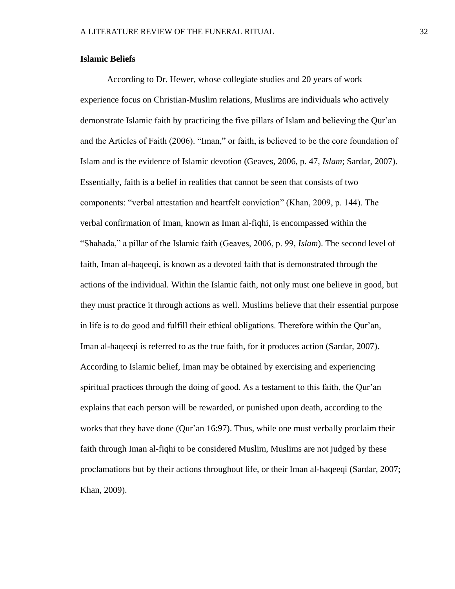#### **Islamic Beliefs**

According to Dr. Hewer, whose collegiate studies and 20 years of work experience focus on Christian-Muslim relations, Muslims are individuals who actively demonstrate Islamic faith by practicing the five pillars of Islam and believing the Qur'an and the Articles of Faith (2006). "Iman," or faith, is believed to be the core foundation of Islam and is the evidence of Islamic devotion (Geaves, 2006, p. 47, *Islam*; Sardar, 2007). Essentially, faith is a belief in realities that cannot be seen that consists of two components: "verbal attestation and heartfelt conviction" (Khan, 2009, p. 144). The verbal confirmation of Iman, known as Iman al-fiqhi, is encompassed within the "Shahada," a pillar of the Islamic faith (Geaves, 2006, p. 99, *Islam*). The second level of faith, Iman al-haqeeqi, is known as a devoted faith that is demonstrated through the actions of the individual. Within the Islamic faith, not only must one believe in good, but they must practice it through actions as well. Muslims believe that their essential purpose in life is to do good and fulfill their ethical obligations. Therefore within the Qur'an, Iman al-haqeeqi is referred to as the true faith, for it produces action (Sardar, 2007). According to Islamic belief, Iman may be obtained by exercising and experiencing spiritual practices through the doing of good. As a testament to this faith, the Qur'an explains that each person will be rewarded, or punished upon death, according to the works that they have done (Qur'an 16:97). Thus, while one must verbally proclaim their faith through Iman al-fiqhi to be considered Muslim, Muslims are not judged by these proclamations but by their actions throughout life, or their Iman al-haqeeqi (Sardar, 2007; Khan, 2009).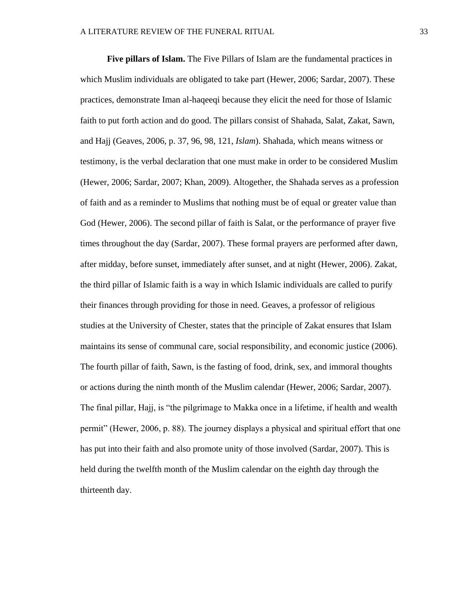**Five pillars of Islam.** The Five Pillars of Islam are the fundamental practices in which Muslim individuals are obligated to take part (Hewer, 2006; Sardar, 2007). These practices, demonstrate Iman al-haqeeqi because they elicit the need for those of Islamic faith to put forth action and do good. The pillars consist of Shahada, Salat, Zakat, Sawn, and Hajj (Geaves, 2006, p. 37, 96, 98, 121, *Islam*). Shahada, which means witness or testimony, is the verbal declaration that one must make in order to be considered Muslim (Hewer, 2006; Sardar, 2007; Khan, 2009). Altogether, the Shahada serves as a profession of faith and as a reminder to Muslims that nothing must be of equal or greater value than God (Hewer, 2006). The second pillar of faith is Salat, or the performance of prayer five times throughout the day (Sardar, 2007). These formal prayers are performed after dawn, after midday, before sunset, immediately after sunset, and at night (Hewer, 2006). Zakat, the third pillar of Islamic faith is a way in which Islamic individuals are called to purify their finances through providing for those in need. Geaves, a professor of religious studies at the University of Chester, states that the principle of Zakat ensures that Islam maintains its sense of communal care, social responsibility, and economic justice (2006). The fourth pillar of faith, Sawn, is the fasting of food, drink, sex, and immoral thoughts or actions during the ninth month of the Muslim calendar (Hewer, 2006; Sardar, 2007). The final pillar, Hajj, is "the pilgrimage to Makka once in a lifetime, if health and wealth permit" (Hewer, 2006, p. 88). The journey displays a physical and spiritual effort that one has put into their faith and also promote unity of those involved (Sardar, 2007). This is held during the twelfth month of the Muslim calendar on the eighth day through the thirteenth day.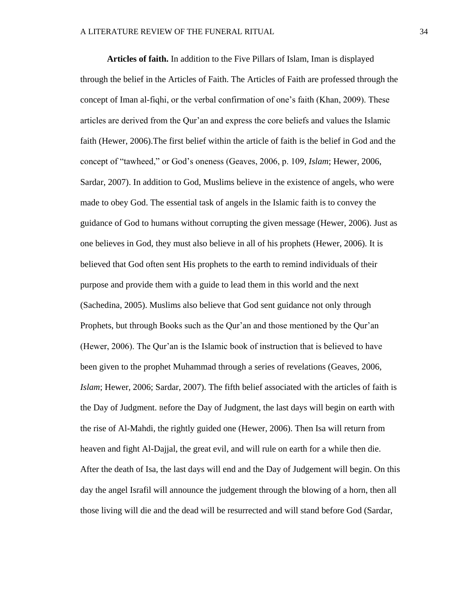**Articles of faith.** In addition to the Five Pillars of Islam, Iman is displayed through the belief in the Articles of Faith. The Articles of Faith are professed through the concept of Iman al-fiqhi, or the verbal confirmation of one's faith (Khan, 2009). These articles are derived from the Qur'an and express the core beliefs and values the Islamic faith (Hewer, 2006).The first belief within the article of faith is the belief in God and the concept of "tawheed," or God's oneness (Geaves, 2006, p. 109, *Islam*; Hewer, 2006, Sardar, 2007). In addition to God, Muslims believe in the existence of angels, who were made to obey God. The essential task of angels in the Islamic faith is to convey the guidance of God to humans without corrupting the given message (Hewer, 2006). Just as one believes in God, they must also believe in all of his prophets (Hewer, 2006). It is believed that God often sent His prophets to the earth to remind individuals of their purpose and provide them with a guide to lead them in this world and the next (Sachedina, 2005). Muslims also believe that God sent guidance not only through Prophets, but through Books such as the Qur'an and those mentioned by the Qur'an (Hewer, 2006). The Qur'an is the Islamic book of instruction that is believed to have been given to the prophet Muhammad through a series of revelations (Geaves, 2006, *Islam*; Hewer, 2006; Sardar, 2007). The fifth belief associated with the articles of faith is the Day of Judgment. Before the Day of Judgment, the last days will begin on earth with the rise of Al-Mahdi, the rightly guided one (Hewer, 2006). Then Isa will return from heaven and fight Al-Dajjal, the great evil, and will rule on earth for a while then die. After the death of Isa, the last days will end and the Day of Judgement will begin. On this day the angel Israfil will announce the judgement through the blowing of a horn, then all those living will die and the dead will be resurrected and will stand before God (Sardar,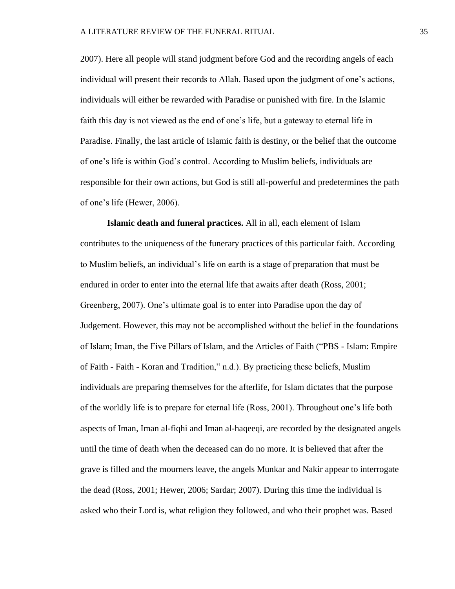2007). Here all people will stand judgment before God and the recording angels of each individual will present their records to Allah. Based upon the judgment of one's actions, individuals will either be rewarded with Paradise or punished with fire. In the Islamic faith this day is not viewed as the end of one's life, but a gateway to eternal life in Paradise. Finally, the last article of Islamic faith is destiny, or the belief that the outcome of one's life is within God's control. According to Muslim beliefs, individuals are responsible for their own actions, but God is still all-powerful and predetermines the path of one's life (Hewer, 2006).

**Islamic death and funeral practices.** All in all, each element of Islam contributes to the uniqueness of the funerary practices of this particular faith. According to Muslim beliefs, an individual's life on earth is a stage of preparation that must be endured in order to enter into the eternal life that awaits after death (Ross, 2001; Greenberg, 2007). One's ultimate goal is to enter into Paradise upon the day of Judgement. However, this may not be accomplished without the belief in the foundations of Islam; Iman, the Five Pillars of Islam, and the Articles of Faith ("PBS - Islam: Empire of Faith - Faith - Koran and Tradition," n.d.). By practicing these beliefs, Muslim individuals are preparing themselves for the afterlife, for Islam dictates that the purpose of the worldly life is to prepare for eternal life (Ross, 2001). Throughout one's life both aspects of Iman, Iman al-fiqhi and Iman al-haqeeqi, are recorded by the designated angels until the time of death when the deceased can do no more. It is believed that after the grave is filled and the mourners leave, the angels Munkar and Nakir appear to interrogate the dead (Ross, 2001; Hewer, 2006; Sardar; 2007). During this time the individual is asked who their Lord is, what religion they followed, and who their prophet was. Based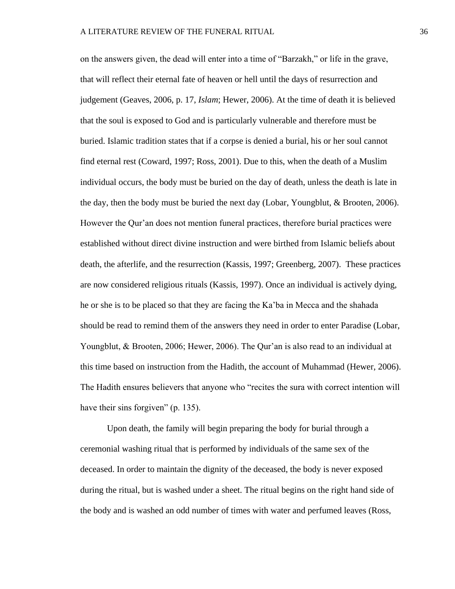on the answers given, the dead will enter into a time of "Barzakh," or life in the grave, that will reflect their eternal fate of heaven or hell until the days of resurrection and judgement (Geaves, 2006, p. 17, *Islam*; Hewer, 2006). At the time of death it is believed that the soul is exposed to God and is particularly vulnerable and therefore must be buried. Islamic tradition states that if a corpse is denied a burial, his or her soul cannot find eternal rest (Coward, 1997; Ross, 2001). Due to this, when the death of a Muslim individual occurs, the body must be buried on the day of death, unless the death is late in the day, then the body must be buried the next day (Lobar, Youngblut, & Brooten, 2006). However the Qur'an does not mention funeral practices, therefore burial practices were established without direct divine instruction and were birthed from Islamic beliefs about death, the afterlife, and the resurrection (Kassis, 1997; Greenberg, 2007). These practices are now considered religious rituals (Kassis, 1997). Once an individual is actively dying, he or she is to be placed so that they are facing the Ka'ba in Mecca and the shahada should be read to remind them of the answers they need in order to enter Paradise (Lobar, Youngblut, & Brooten, 2006; Hewer, 2006). The Qur'an is also read to an individual at this time based on instruction from the Hadith, the account of Muhammad (Hewer, 2006). The Hadith ensures believers that anyone who "recites the sura with correct intention will have their sins forgiven" (p. 135).

Upon death, the family will begin preparing the body for burial through a ceremonial washing ritual that is performed by individuals of the same sex of the deceased. In order to maintain the dignity of the deceased, the body is never exposed during the ritual, but is washed under a sheet. The ritual begins on the right hand side of the body and is washed an odd number of times with water and perfumed leaves (Ross,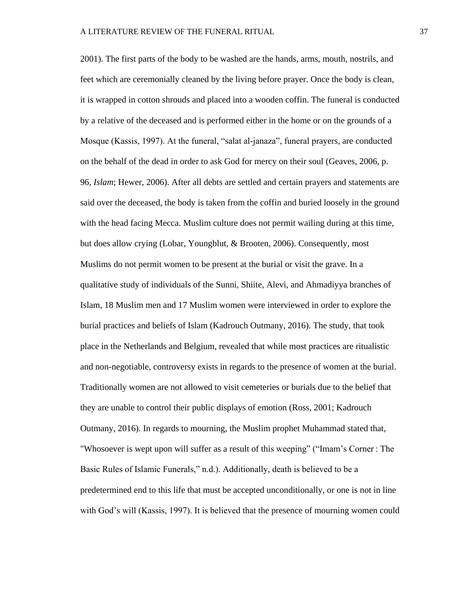2001). The first parts of the body to be washed are the hands, arms, mouth, nostrils, and feet which are ceremonially cleaned by the living before prayer. Once the body is clean, it is wrapped in cotton shrouds and placed into a wooden coffin. The funeral is conducted by a relative of the deceased and is performed either in the home or on the grounds of a Mosque (Kassis, 1997). At the funeral, "salat al-janaza", funeral prayers, are conducted on the behalf of the dead in order to ask God for mercy on their soul (Geaves, 2006, p. 96, *Islam*; Hewer, 2006). After all debts are settled and certain prayers and statements are said over the deceased, the body is taken from the coffin and buried loosely in the ground with the head facing Mecca. Muslim culture does not permit wailing during at this time, but does allow crying (Lobar, Youngblut, & Brooten, 2006). Consequently, most Muslims do not permit women to be present at the burial or visit the grave. In a qualitative study of individuals of the Sunni, Shiite, Alevi, and Ahmadiyya branches of Islam, 18 Muslim men and 17 Muslim women were interviewed in order to explore the burial practices and beliefs of Islam (Kadrouch Outmany, 2016). The study, that took place in the Netherlands and Belgium, revealed that while most practices are ritualistic and non-negotiable, controversy exists in regards to the presence of women at the burial. Traditionally women are not allowed to visit cemeteries or burials due to the belief that they are unable to control their public displays of emotion (Ross, 2001; Kadrouch Outmany, 2016). In regards to mourning, the Muslim prophet Muhammad stated that, "Whosoever is wept upon will suffer as a result of this weeping" ("Imam's Corner : The Basic Rules of Islamic Funerals," n.d.). Additionally, death is believed to be a predetermined end to this life that must be accepted unconditionally, or one is not in line with God's will (Kassis, 1997). It is believed that the presence of mourning women could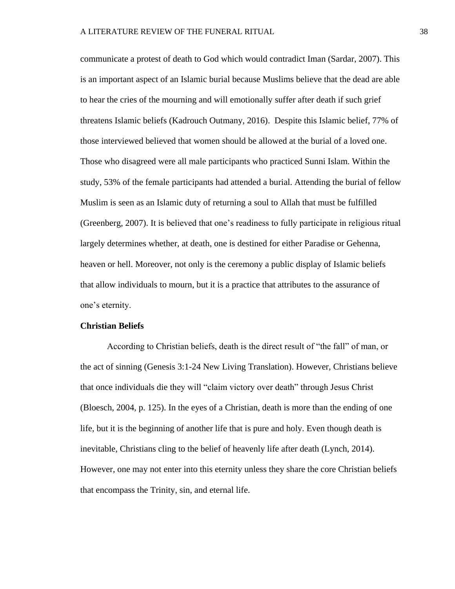communicate a protest of death to God which would contradict Iman (Sardar, 2007). This is an important aspect of an Islamic burial because Muslims believe that the dead are able to hear the cries of the mourning and will emotionally suffer after death if such grief threatens Islamic beliefs (Kadrouch Outmany, 2016). Despite this Islamic belief, 77% of those interviewed believed that women should be allowed at the burial of a loved one. Those who disagreed were all male participants who practiced Sunni Islam. Within the study, 53% of the female participants had attended a burial. Attending the burial of fellow Muslim is seen as an Islamic duty of returning a soul to Allah that must be fulfilled (Greenberg, 2007). It is believed that one's readiness to fully participate in religious ritual largely determines whether, at death, one is destined for either Paradise or Gehenna, heaven or hell. Moreover, not only is the ceremony a public display of Islamic beliefs that allow individuals to mourn, but it is a practice that attributes to the assurance of one's eternity.

#### **Christian Beliefs**

According to Christian beliefs, death is the direct result of "the fall" of man, or the act of sinning (Genesis 3:1-24 New Living Translation). However, Christians believe that once individuals die they will "claim victory over death" through Jesus Christ (Bloesch, 2004, p. 125). In the eyes of a Christian, death is more than the ending of one life, but it is the beginning of another life that is pure and holy. Even though death is inevitable, Christians cling to the belief of heavenly life after death (Lynch, 2014). However, one may not enter into this eternity unless they share the core Christian beliefs that encompass the Trinity, sin, and eternal life.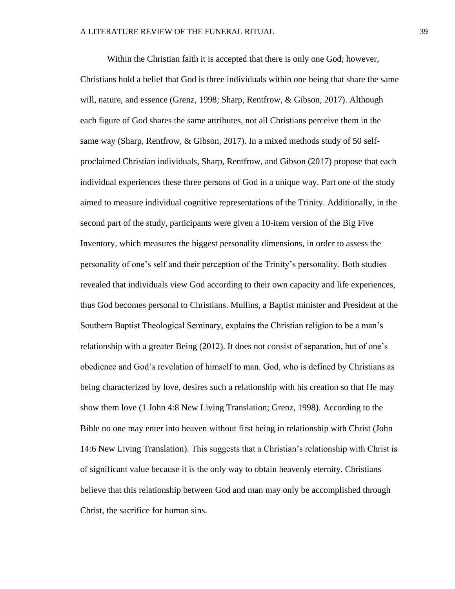Within the Christian faith it is accepted that there is only one God; however, Christians hold a belief that God is three individuals within one being that share the same will, nature, and essence (Grenz, 1998; Sharp, Rentfrow, & Gibson, 2017). Although each figure of God shares the same attributes, not all Christians perceive them in the same way (Sharp, Rentfrow, & Gibson, 2017). In a mixed methods study of 50 selfproclaimed Christian individuals, Sharp, Rentfrow, and Gibson (2017) propose that each individual experiences these three persons of God in a unique way. Part one of the study aimed to measure individual cognitive representations of the Trinity. Additionally, in the second part of the study, participants were given a 10-item version of the Big Five Inventory, which measures the biggest personality dimensions, in order to assess the personality of one's self and their perception of the Trinity's personality. Both studies revealed that individuals view God according to their own capacity and life experiences, thus God becomes personal to Christians. Mullins, a Baptist minister and President at the Southern Baptist Theological Seminary, explains the Christian religion to be a man's relationship with a greater Being (2012). It does not consist of separation, but of one's obedience and God's revelation of himself to man. God, who is defined by Christians as being characterized by love, desires such a relationship with his creation so that He may show them love (1 John 4:8 New Living Translation; Grenz, 1998). According to the Bible no one may enter into heaven without first being in relationship with Christ (John 14:6 New Living Translation). This suggests that a Christian's relationship with Christ is of significant value because it is the only way to obtain heavenly eternity. Christians believe that this relationship between God and man may only be accomplished through Christ, the sacrifice for human sins.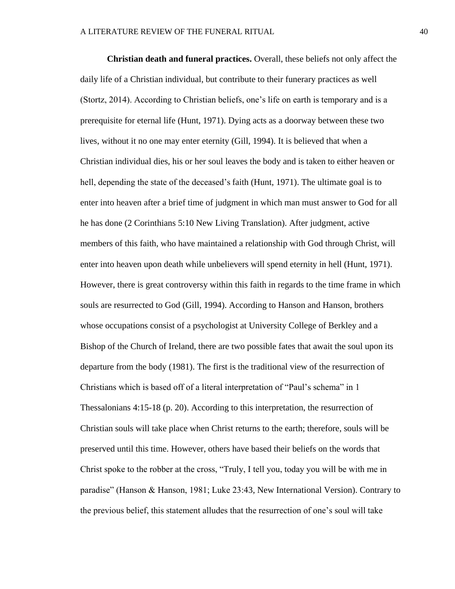**Christian death and funeral practices.** Overall, these beliefs not only affect the daily life of a Christian individual, but contribute to their funerary practices as well (Stortz, 2014). According to Christian beliefs, one's life on earth is temporary and is a prerequisite for eternal life (Hunt, 1971). Dying acts as a doorway between these two lives, without it no one may enter eternity (Gill, 1994). It is believed that when a Christian individual dies, his or her soul leaves the body and is taken to either heaven or hell, depending the state of the deceased's faith (Hunt, 1971). The ultimate goal is to enter into heaven after a brief time of judgment in which man must answer to God for all he has done (2 Corinthians 5:10 New Living Translation). After judgment, active members of this faith, who have maintained a relationship with God through Christ, will enter into heaven upon death while unbelievers will spend eternity in hell (Hunt, 1971). However, there is great controversy within this faith in regards to the time frame in which souls are resurrected to God (Gill, 1994). According to Hanson and Hanson, brothers whose occupations consist of a psychologist at University College of Berkley and a Bishop of the Church of Ireland, there are two possible fates that await the soul upon its departure from the body (1981). The first is the traditional view of the resurrection of Christians which is based off of a literal interpretation of "Paul's schema" in 1 Thessalonians 4:15-18 (p. 20). According to this interpretation, the resurrection of Christian souls will take place when Christ returns to the earth; therefore, souls will be preserved until this time. However, others have based their beliefs on the words that Christ spoke to the robber at the cross, "Truly, I tell you, today you will be with me in paradise" (Hanson & Hanson, 1981; Luke 23:43, New International Version). Contrary to the previous belief, this statement alludes that the resurrection of one's soul will take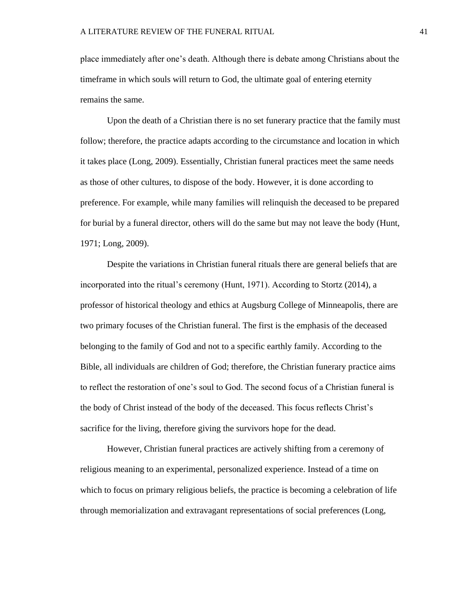place immediately after one's death. Although there is debate among Christians about the timeframe in which souls will return to God, the ultimate goal of entering eternity remains the same.

Upon the death of a Christian there is no set funerary practice that the family must follow; therefore, the practice adapts according to the circumstance and location in which it takes place (Long, 2009). Essentially, Christian funeral practices meet the same needs as those of other cultures, to dispose of the body. However, it is done according to preference. For example, while many families will relinquish the deceased to be prepared for burial by a funeral director, others will do the same but may not leave the body (Hunt, 1971; Long, 2009).

Despite the variations in Christian funeral rituals there are general beliefs that are incorporated into the ritual's ceremony (Hunt, 1971). According to Stortz (2014), a professor of historical theology and ethics at Augsburg College of Minneapolis, there are two primary focuses of the Christian funeral. The first is the emphasis of the deceased belonging to the family of God and not to a specific earthly family. According to the Bible, all individuals are children of God; therefore, the Christian funerary practice aims to reflect the restoration of one's soul to God. The second focus of a Christian funeral is the body of Christ instead of the body of the deceased. This focus reflects Christ's sacrifice for the living, therefore giving the survivors hope for the dead.

However, Christian funeral practices are actively shifting from a ceremony of religious meaning to an experimental, personalized experience. Instead of a time on which to focus on primary religious beliefs, the practice is becoming a celebration of life through memorialization and extravagant representations of social preferences (Long,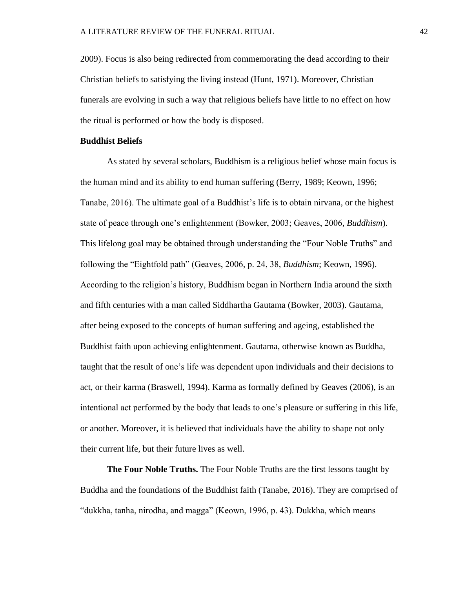2009). Focus is also being redirected from commemorating the dead according to their Christian beliefs to satisfying the living instead (Hunt, 1971). Moreover, Christian funerals are evolving in such a way that religious beliefs have little to no effect on how the ritual is performed or how the body is disposed.

#### **Buddhist Beliefs**

As stated by several scholars, Buddhism is a religious belief whose main focus is the human mind and its ability to end human suffering (Berry, 1989; Keown, 1996; Tanabe, 2016). The ultimate goal of a Buddhist's life is to obtain nirvana, or the highest state of peace through one's enlightenment (Bowker, 2003; Geaves, 2006, *Buddhism*). This lifelong goal may be obtained through understanding the "Four Noble Truths" and following the "Eightfold path" (Geaves, 2006, p. 24, 38, *Buddhism*; Keown, 1996). According to the religion's history, Buddhism began in Northern India around the sixth and fifth centuries with a man called Siddhartha Gautama (Bowker, 2003). Gautama, after being exposed to the concepts of human suffering and ageing, established the Buddhist faith upon achieving enlightenment. Gautama, otherwise known as Buddha, taught that the result of one's life was dependent upon individuals and their decisions to act, or their karma (Braswell, 1994). Karma as formally defined by Geaves (2006), is an intentional act performed by the body that leads to one's pleasure or suffering in this life, or another. Moreover, it is believed that individuals have the ability to shape not only their current life, but their future lives as well.

**The Four Noble Truths.** The Four Noble Truths are the first lessons taught by Buddha and the foundations of the Buddhist faith (Tanabe, 2016). They are comprised of "dukkha, tanha, nirodha, and magga" (Keown, 1996, p. 43). Dukkha, which means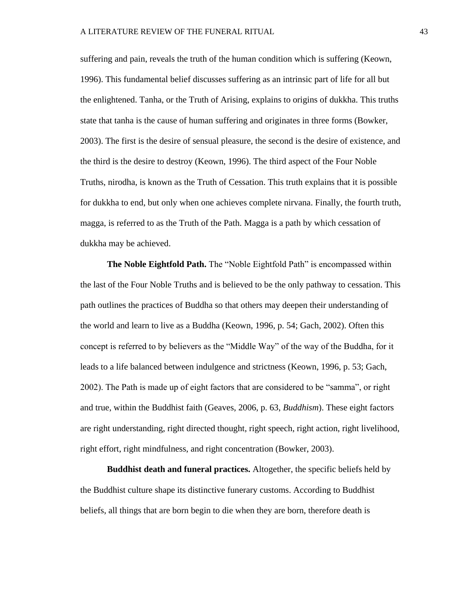suffering and pain, reveals the truth of the human condition which is suffering (Keown, 1996). This fundamental belief discusses suffering as an intrinsic part of life for all but the enlightened. Tanha, or the Truth of Arising, explains to origins of dukkha. This truths state that tanha is the cause of human suffering and originates in three forms (Bowker, 2003). The first is the desire of sensual pleasure, the second is the desire of existence, and the third is the desire to destroy (Keown, 1996). The third aspect of the Four Noble Truths, nirodha, is known as the Truth of Cessation. This truth explains that it is possible for dukkha to end, but only when one achieves complete nirvana. Finally, the fourth truth, magga, is referred to as the Truth of the Path. Magga is a path by which cessation of dukkha may be achieved.

**The Noble Eightfold Path.** The "Noble Eightfold Path" is encompassed within the last of the Four Noble Truths and is believed to be the only pathway to cessation. This path outlines the practices of Buddha so that others may deepen their understanding of the world and learn to live as a Buddha (Keown, 1996, p. 54; Gach, 2002). Often this concept is referred to by believers as the "Middle Way" of the way of the Buddha, for it leads to a life balanced between indulgence and strictness (Keown, 1996, p. 53; Gach, 2002). The Path is made up of eight factors that are considered to be "samma", or right and true, within the Buddhist faith (Geaves, 2006, p. 63, *Buddhism*). These eight factors are right understanding, right directed thought, right speech, right action, right livelihood, right effort, right mindfulness, and right concentration (Bowker, 2003).

**Buddhist death and funeral practices.** Altogether, the specific beliefs held by the Buddhist culture shape its distinctive funerary customs. According to Buddhist beliefs, all things that are born begin to die when they are born, therefore death is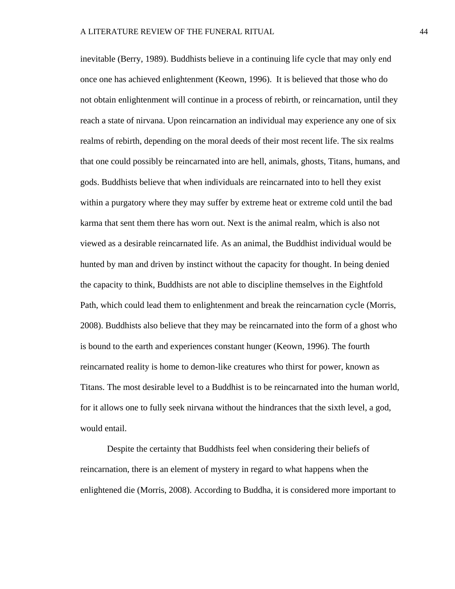inevitable (Berry, 1989). Buddhists believe in a continuing life cycle that may only end once one has achieved enlightenment (Keown, 1996). It is believed that those who do not obtain enlightenment will continue in a process of rebirth, or reincarnation, until they reach a state of nirvana. Upon reincarnation an individual may experience any one of six realms of rebirth, depending on the moral deeds of their most recent life. The six realms that one could possibly be reincarnated into are hell, animals, ghosts, Titans, humans, and gods. Buddhists believe that when individuals are reincarnated into to hell they exist within a purgatory where they may suffer by extreme heat or extreme cold until the bad karma that sent them there has worn out. Next is the animal realm, which is also not viewed as a desirable reincarnated life. As an animal, the Buddhist individual would be hunted by man and driven by instinct without the capacity for thought. In being denied the capacity to think, Buddhists are not able to discipline themselves in the Eightfold Path, which could lead them to enlightenment and break the reincarnation cycle (Morris, 2008). Buddhists also believe that they may be reincarnated into the form of a ghost who is bound to the earth and experiences constant hunger (Keown, 1996). The fourth reincarnated reality is home to demon-like creatures who thirst for power, known as Titans. The most desirable level to a Buddhist is to be reincarnated into the human world, for it allows one to fully seek nirvana without the hindrances that the sixth level, a god, would entail.

Despite the certainty that Buddhists feel when considering their beliefs of reincarnation, there is an element of mystery in regard to what happens when the enlightened die (Morris, 2008). According to Buddha, it is considered more important to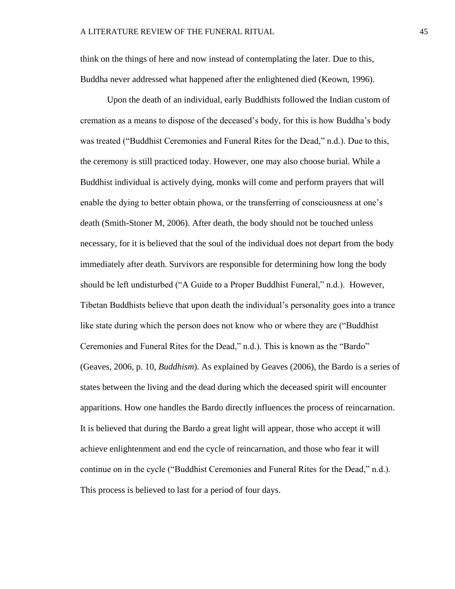think on the things of here and now instead of contemplating the later. Due to this, Buddha never addressed what happened after the enlightened died (Keown, 1996).

Upon the death of an individual, early Buddhists followed the Indian custom of cremation as a means to dispose of the deceased's body, for this is how Buddha's body was treated ("Buddhist Ceremonies and Funeral Rites for the Dead," n.d.). Due to this, the ceremony is still practiced today. However, one may also choose burial. While a Buddhist individual is actively dying, monks will come and perform prayers that will enable the dying to better obtain phowa, or the transferring of consciousness at one's death (Smith-Stoner M, 2006). After death, the body should not be touched unless necessary, for it is believed that the soul of the individual does not depart from the body immediately after death. Survivors are responsible for determining how long the body should be left undisturbed ("A Guide to a Proper Buddhist Funeral," n.d.). However, Tibetan Buddhists believe that upon death the individual's personality goes into a trance like state during which the person does not know who or where they are ("Buddhist Ceremonies and Funeral Rites for the Dead," n.d.). This is known as the "Bardo" (Geaves, 2006, p. 10, *Buddhism*). As explained by Geaves (2006), the Bardo is a series of states between the living and the dead during which the deceased spirit will encounter apparitions. How one handles the Bardo directly influences the process of reincarnation. It is believed that during the Bardo a great light will appear, those who accept it will achieve enlightenment and end the cycle of reincarnation, and those who fear it will continue on in the cycle ("Buddhist Ceremonies and Funeral Rites for the Dead," n.d.). This process is believed to last for a period of four days.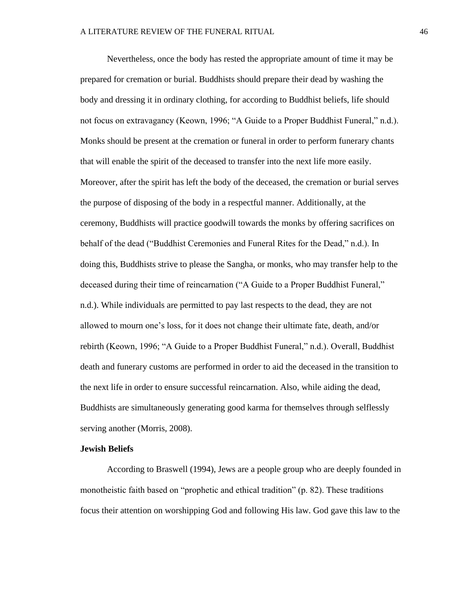Nevertheless, once the body has rested the appropriate amount of time it may be prepared for cremation or burial. Buddhists should prepare their dead by washing the body and dressing it in ordinary clothing, for according to Buddhist beliefs, life should not focus on extravagancy (Keown, 1996; "A Guide to a Proper Buddhist Funeral," n.d.). Monks should be present at the cremation or funeral in order to perform funerary chants that will enable the spirit of the deceased to transfer into the next life more easily. Moreover, after the spirit has left the body of the deceased, the cremation or burial serves the purpose of disposing of the body in a respectful manner. Additionally, at the ceremony, Buddhists will practice goodwill towards the monks by offering sacrifices on behalf of the dead ("Buddhist Ceremonies and Funeral Rites for the Dead," n.d.). In doing this, Buddhists strive to please the Sangha, or monks, who may transfer help to the deceased during their time of reincarnation ("A Guide to a Proper Buddhist Funeral," n.d.). While individuals are permitted to pay last respects to the dead, they are not allowed to mourn one's loss, for it does not change their ultimate fate, death, and/or rebirth (Keown, 1996; "A Guide to a Proper Buddhist Funeral," n.d.). Overall, Buddhist death and funerary customs are performed in order to aid the deceased in the transition to the next life in order to ensure successful reincarnation. Also, while aiding the dead, Buddhists are simultaneously generating good karma for themselves through selflessly serving another (Morris, 2008).

#### **Jewish Beliefs**

According to Braswell (1994), Jews are a people group who are deeply founded in monotheistic faith based on "prophetic and ethical tradition" (p. 82). These traditions focus their attention on worshipping God and following His law. God gave this law to the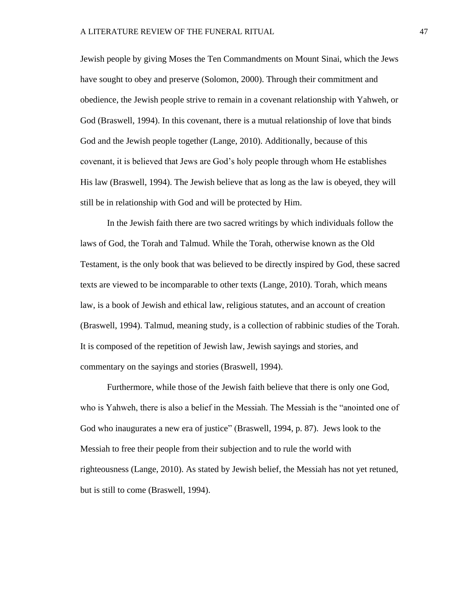Jewish people by giving Moses the Ten Commandments on Mount Sinai, which the Jews have sought to obey and preserve (Solomon, 2000). Through their commitment and obedience, the Jewish people strive to remain in a covenant relationship with Yahweh, or God (Braswell, 1994). In this covenant, there is a mutual relationship of love that binds God and the Jewish people together (Lange, 2010). Additionally, because of this covenant, it is believed that Jews are God's holy people through whom He establishes His law (Braswell, 1994). The Jewish believe that as long as the law is obeyed, they will still be in relationship with God and will be protected by Him.

In the Jewish faith there are two sacred writings by which individuals follow the laws of God, the Torah and Talmud. While the Torah, otherwise known as the Old Testament, is the only book that was believed to be directly inspired by God, these sacred texts are viewed to be incomparable to other texts (Lange, 2010). Torah, which means law, is a book of Jewish and ethical law, religious statutes, and an account of creation (Braswell, 1994). Talmud, meaning study, is a collection of rabbinic studies of the Torah. It is composed of the repetition of Jewish law, Jewish sayings and stories, and commentary on the sayings and stories (Braswell, 1994).

Furthermore, while those of the Jewish faith believe that there is only one God, who is Yahweh, there is also a belief in the Messiah. The Messiah is the "anointed one of God who inaugurates a new era of justice" (Braswell, 1994, p. 87). Jews look to the Messiah to free their people from their subjection and to rule the world with righteousness (Lange, 2010). As stated by Jewish belief, the Messiah has not yet retuned, but is still to come (Braswell, 1994).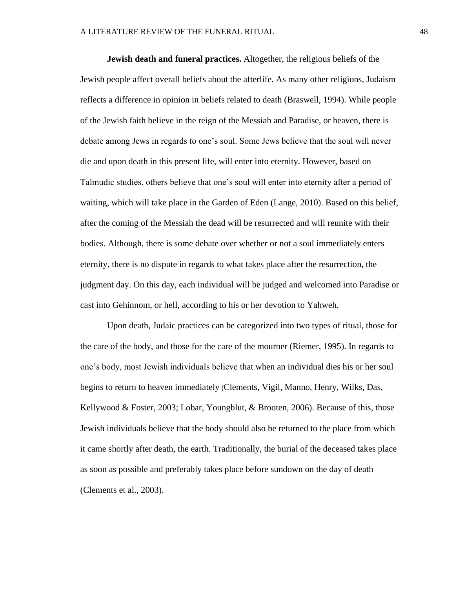**Jewish death and funeral practices.** Altogether, the religious beliefs of the Jewish people affect overall beliefs about the afterlife. As many other religions, Judaism reflects a difference in opinion in beliefs related to death (Braswell, 1994). While people of the Jewish faith believe in the reign of the Messiah and Paradise, or heaven, there is debate among Jews in regards to one's soul. Some Jews believe that the soul will never die and upon death in this present life, will enter into eternity. However, based on Talmudic studies, others believe that one's soul will enter into eternity after a period of waiting, which will take place in the Garden of Eden (Lange, 2010). Based on this belief, after the coming of the Messiah the dead will be resurrected and will reunite with their bodies. Although, there is some debate over whether or not a soul immediately enters eternity, there is no dispute in regards to what takes place after the resurrection, the judgment day. On this day, each individual will be judged and welcomed into Paradise or cast into Gehinnom, or hell, according to his or her devotion to Yahweh.

Upon death, Judaic practices can be categorized into two types of ritual, those for the care of the body, and those for the care of the mourner (Riemer, 1995). In regards to one's body, most Jewish individuals believe that when an individual dies his or her soul begins to return to heaven immediately (Clements, Vigil, Manno, Henry, Wilks, Das, Kellywood & Foster, 2003; Lobar, Youngblut, & Brooten, 2006). Because of this, those Jewish individuals believe that the body should also be returned to the place from which it came shortly after death, the earth. Traditionally, the burial of the deceased takes place as soon as possible and preferably takes place before sundown on the day of death (Clements et al., 2003).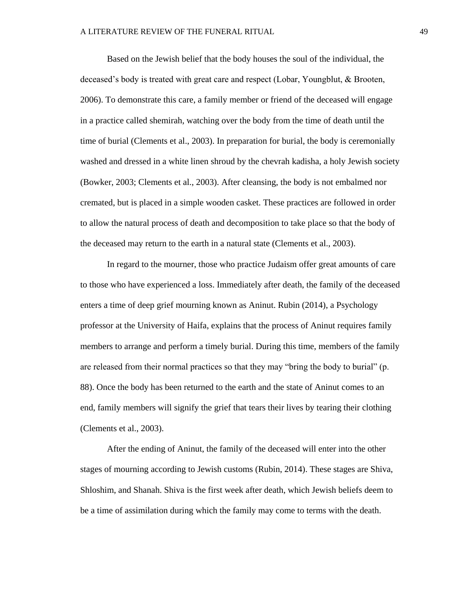Based on the Jewish belief that the body houses the soul of the individual, the deceased's body is treated with great care and respect (Lobar, Youngblut, & Brooten, 2006). To demonstrate this care, a family member or friend of the deceased will engage in a practice called shemirah, watching over the body from the time of death until the time of burial (Clements et al., 2003). In preparation for burial, the body is ceremonially washed and dressed in a white linen shroud by the chevrah kadisha, a holy Jewish society (Bowker, 2003; Clements et al., 2003). After cleansing, the body is not embalmed nor cremated, but is placed in a simple wooden casket. These practices are followed in order to allow the natural process of death and decomposition to take place so that the body of the deceased may return to the earth in a natural state (Clements et al., 2003).

In regard to the mourner, those who practice Judaism offer great amounts of care to those who have experienced a loss. Immediately after death, the family of the deceased enters a time of deep grief mourning known as Aninut. Rubin (2014), a Psychology professor at the University of Haifa, explains that the process of Aninut requires family members to arrange and perform a timely burial. During this time, members of the family are released from their normal practices so that they may "bring the body to burial" (p. 88). Once the body has been returned to the earth and the state of Aninut comes to an end, family members will signify the grief that tears their lives by tearing their clothing (Clements et al., 2003).

After the ending of Aninut, the family of the deceased will enter into the other stages of mourning according to Jewish customs (Rubin, 2014). These stages are Shiva, Shloshim, and Shanah. Shiva is the first week after death, which Jewish beliefs deem to be a time of assimilation during which the family may come to terms with the death.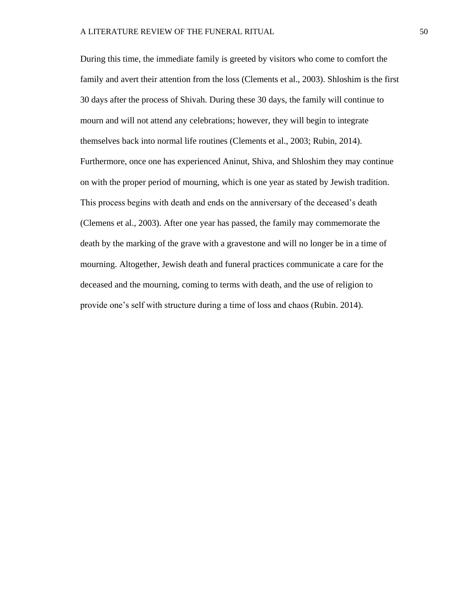During this time, the immediate family is greeted by visitors who come to comfort the family and avert their attention from the loss (Clements et al., 2003). Shloshim is the first 30 days after the process of Shivah. During these 30 days, the family will continue to mourn and will not attend any celebrations; however, they will begin to integrate themselves back into normal life routines (Clements et al., 2003; Rubin, 2014). Furthermore, once one has experienced Aninut, Shiva, and Shloshim they may continue on with the proper period of mourning, which is one year as stated by Jewish tradition. This process begins with death and ends on the anniversary of the deceased's death (Clemens et al., 2003). After one year has passed, the family may commemorate the death by the marking of the grave with a gravestone and will no longer be in a time of mourning. Altogether, Jewish death and funeral practices communicate a care for the deceased and the mourning, coming to terms with death, and the use of religion to provide one's self with structure during a time of loss and chaos (Rubin. 2014).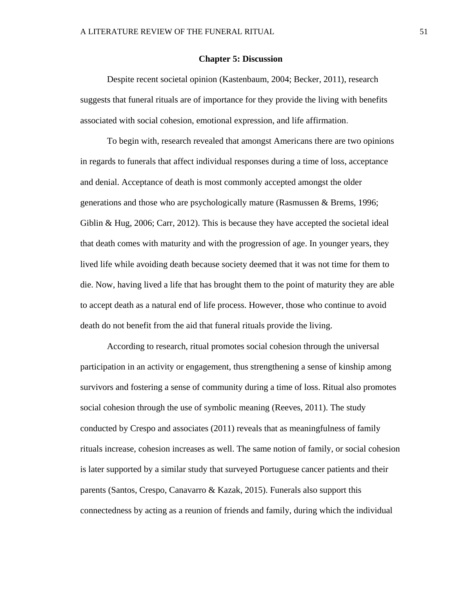#### **Chapter 5: Discussion**

Despite recent societal opinion (Kastenbaum, 2004; Becker, 2011), research suggests that funeral rituals are of importance for they provide the living with benefits associated with social cohesion, emotional expression, and life affirmation.

To begin with, research revealed that amongst Americans there are two opinions in regards to funerals that affect individual responses during a time of loss, acceptance and denial. Acceptance of death is most commonly accepted amongst the older generations and those who are psychologically mature (Rasmussen & Brems, 1996; Giblin & Hug, 2006; Carr, 2012). This is because they have accepted the societal ideal that death comes with maturity and with the progression of age. In younger years, they lived life while avoiding death because society deemed that it was not time for them to die. Now, having lived a life that has brought them to the point of maturity they are able to accept death as a natural end of life process. However, those who continue to avoid death do not benefit from the aid that funeral rituals provide the living.

According to research, ritual promotes social cohesion through the universal participation in an activity or engagement, thus strengthening a sense of kinship among survivors and fostering a sense of community during a time of loss. Ritual also promotes social cohesion through the use of symbolic meaning (Reeves, 2011). The study conducted by Crespo and associates (2011) reveals that as meaningfulness of family rituals increase, cohesion increases as well. The same notion of family, or social cohesion is later supported by a similar study that surveyed Portuguese cancer patients and their parents (Santos, Crespo, Canavarro & Kazak, 2015). Funerals also support this connectedness by acting as a reunion of friends and family, during which the individual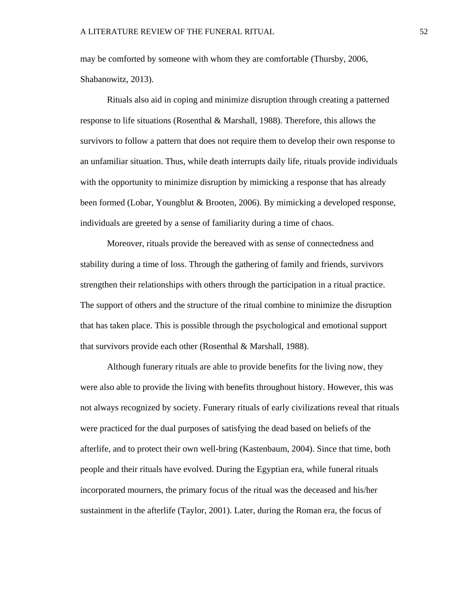may be comforted by someone with whom they are comfortable (Thursby, 2006, Shabanowitz, 2013).

Rituals also aid in coping and minimize disruption through creating a patterned response to life situations (Rosenthal & Marshall, 1988). Therefore, this allows the survivors to follow a pattern that does not require them to develop their own response to an unfamiliar situation. Thus, while death interrupts daily life, rituals provide individuals with the opportunity to minimize disruption by mimicking a response that has already been formed (Lobar, Youngblut & Brooten, 2006). By mimicking a developed response, individuals are greeted by a sense of familiarity during a time of chaos.

Moreover, rituals provide the bereaved with as sense of connectedness and stability during a time of loss. Through the gathering of family and friends, survivors strengthen their relationships with others through the participation in a ritual practice. The support of others and the structure of the ritual combine to minimize the disruption that has taken place. This is possible through the psychological and emotional support that survivors provide each other (Rosenthal & Marshall, 1988).

Although funerary rituals are able to provide benefits for the living now, they were also able to provide the living with benefits throughout history. However, this was not always recognized by society. Funerary rituals of early civilizations reveal that rituals were practiced for the dual purposes of satisfying the dead based on beliefs of the afterlife, and to protect their own well-bring (Kastenbaum, 2004). Since that time, both people and their rituals have evolved. During the Egyptian era, while funeral rituals incorporated mourners, the primary focus of the ritual was the deceased and his/her sustainment in the afterlife (Taylor, 2001). Later, during the Roman era, the focus of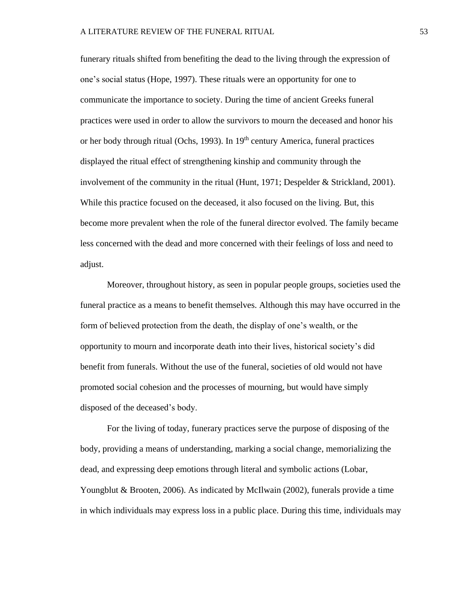funerary rituals shifted from benefiting the dead to the living through the expression of one's social status (Hope, 1997). These rituals were an opportunity for one to communicate the importance to society. During the time of ancient Greeks funeral practices were used in order to allow the survivors to mourn the deceased and honor his or her body through ritual (Ochs, 1993). In 19<sup>th</sup> century America, funeral practices displayed the ritual effect of strengthening kinship and community through the involvement of the community in the ritual (Hunt, 1971; Despelder  $&$  Strickland, 2001). While this practice focused on the deceased, it also focused on the living. But, this become more prevalent when the role of the funeral director evolved. The family became less concerned with the dead and more concerned with their feelings of loss and need to adjust.

Moreover, throughout history, as seen in popular people groups, societies used the funeral practice as a means to benefit themselves. Although this may have occurred in the form of believed protection from the death, the display of one's wealth, or the opportunity to mourn and incorporate death into their lives, historical society's did benefit from funerals. Without the use of the funeral, societies of old would not have promoted social cohesion and the processes of mourning, but would have simply disposed of the deceased's body.

For the living of today, funerary practices serve the purpose of disposing of the body, providing a means of understanding, marking a social change, memorializing the dead, and expressing deep emotions through literal and symbolic actions (Lobar, Youngblut & Brooten, 2006). As indicated by McIlwain (2002), funerals provide a time in which individuals may express loss in a public place. During this time, individuals may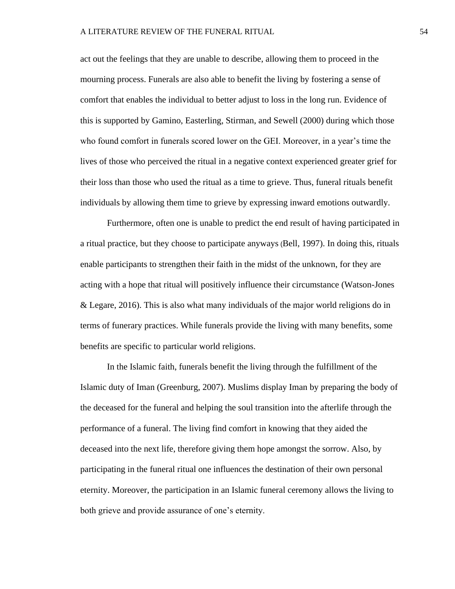act out the feelings that they are unable to describe, allowing them to proceed in the mourning process. Funerals are also able to benefit the living by fostering a sense of comfort that enables the individual to better adjust to loss in the long run. Evidence of this is supported by Gamino, Easterling, Stirman, and Sewell (2000) during which those who found comfort in funerals scored lower on the GEI. Moreover, in a year's time the lives of those who perceived the ritual in a negative context experienced greater grief for their loss than those who used the ritual as a time to grieve. Thus, funeral rituals benefit individuals by allowing them time to grieve by expressing inward emotions outwardly.

Furthermore, often one is unable to predict the end result of having participated in a ritual practice, but they choose to participate anyways (Bell, 1997). In doing this, rituals enable participants to strengthen their faith in the midst of the unknown, for they are acting with a hope that ritual will positively influence their circumstance (Watson-Jones & Legare, 2016). This is also what many individuals of the major world religions do in terms of funerary practices. While funerals provide the living with many benefits, some benefits are specific to particular world religions.

In the Islamic faith, funerals benefit the living through the fulfillment of the Islamic duty of Iman (Greenburg, 2007). Muslims display Iman by preparing the body of the deceased for the funeral and helping the soul transition into the afterlife through the performance of a funeral. The living find comfort in knowing that they aided the deceased into the next life, therefore giving them hope amongst the sorrow. Also, by participating in the funeral ritual one influences the destination of their own personal eternity. Moreover, the participation in an Islamic funeral ceremony allows the living to both grieve and provide assurance of one's eternity.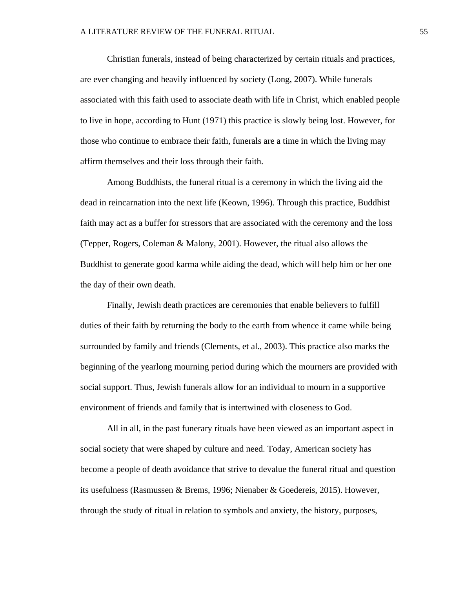Christian funerals, instead of being characterized by certain rituals and practices, are ever changing and heavily influenced by society (Long, 2007). While funerals associated with this faith used to associate death with life in Christ, which enabled people to live in hope, according to Hunt (1971) this practice is slowly being lost. However, for those who continue to embrace their faith, funerals are a time in which the living may affirm themselves and their loss through their faith.

Among Buddhists, the funeral ritual is a ceremony in which the living aid the dead in reincarnation into the next life (Keown, 1996). Through this practice, Buddhist faith may act as a buffer for stressors that are associated with the ceremony and the loss (Tepper, Rogers, Coleman & Malony, 2001). However, the ritual also allows the Buddhist to generate good karma while aiding the dead, which will help him or her one the day of their own death.

Finally, Jewish death practices are ceremonies that enable believers to fulfill duties of their faith by returning the body to the earth from whence it came while being surrounded by family and friends (Clements, et al., 2003). This practice also marks the beginning of the yearlong mourning period during which the mourners are provided with social support. Thus, Jewish funerals allow for an individual to mourn in a supportive environment of friends and family that is intertwined with closeness to God.

All in all, in the past funerary rituals have been viewed as an important aspect in social society that were shaped by culture and need. Today, American society has become a people of death avoidance that strive to devalue the funeral ritual and question its usefulness (Rasmussen & Brems, 1996; Nienaber & Goedereis, 2015). However, through the study of ritual in relation to symbols and anxiety, the history, purposes,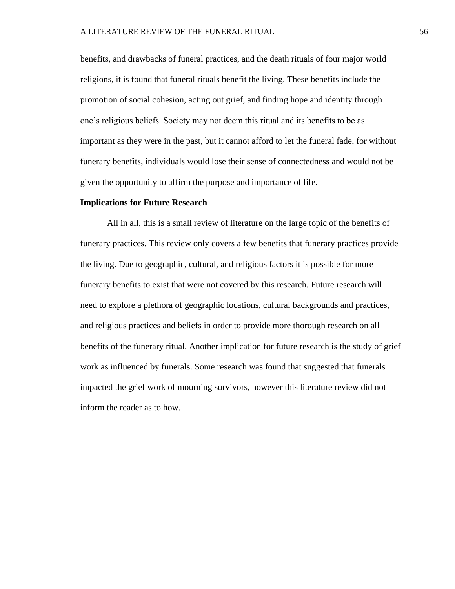benefits, and drawbacks of funeral practices, and the death rituals of four major world religions, it is found that funeral rituals benefit the living. These benefits include the promotion of social cohesion, acting out grief, and finding hope and identity through one's religious beliefs. Society may not deem this ritual and its benefits to be as important as they were in the past, but it cannot afford to let the funeral fade, for without funerary benefits, individuals would lose their sense of connectedness and would not be given the opportunity to affirm the purpose and importance of life.

#### **Implications for Future Research**

All in all, this is a small review of literature on the large topic of the benefits of funerary practices. This review only covers a few benefits that funerary practices provide the living. Due to geographic, cultural, and religious factors it is possible for more funerary benefits to exist that were not covered by this research. Future research will need to explore a plethora of geographic locations, cultural backgrounds and practices, and religious practices and beliefs in order to provide more thorough research on all benefits of the funerary ritual. Another implication for future research is the study of grief work as influenced by funerals. Some research was found that suggested that funerals impacted the grief work of mourning survivors, however this literature review did not inform the reader as to how.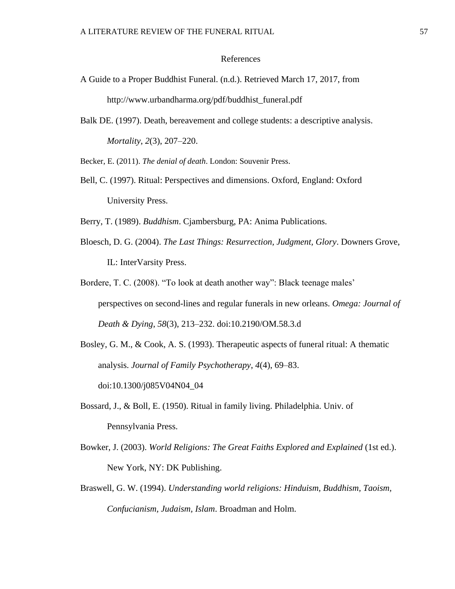#### References

- A Guide to a Proper Buddhist Funeral. (n.d.). Retrieved March 17, 2017, from http://www.urbandharma.org/pdf/buddhist\_funeral.pdf
- Balk DE. (1997). Death, bereavement and college students: a descriptive analysis. *Mortality*, *2*(3), 207–220.

Becker, E. (2011). *The denial of death*. London: Souvenir Press.

Bell, C. (1997). Ritual: Perspectives and dimensions. Oxford, England: Oxford University Press.

Berry, T. (1989). *Buddhism*. Cjambersburg, PA: Anima Publications.

- Bloesch, D. G. (2004). *The Last Things: Resurrection, Judgment, Glory*. Downers Grove, IL: InterVarsity Press.
- Bordere, T. C. (2008). "To look at death another way": Black teenage males' perspectives on second-lines and regular funerals in new orleans. *Omega: Journal of Death & Dying*, *58*(3), 213–232. doi:10.2190/OM.58.3.d
- Bosley, G. M., & Cook, A. S. (1993). Therapeutic aspects of funeral ritual: A thematic analysis. *Journal of Family Psychotherapy*, *4*(4), 69–83. doi:10.1300/j085V04N04\_04
- Bossard, J., & Boll, E. (1950). Ritual in family living. Philadelphia. Univ. of Pennsylvania Press.
- Bowker, J. (2003). *World Religions: The Great Faiths Explored and Explained* (1st ed.). New York, NY: DK Publishing.
- Braswell, G. W. (1994). *Understanding world religions: Hinduism, Buddhism, Taoism, Confucianism, Judaism, Islam*. Broadman and Holm.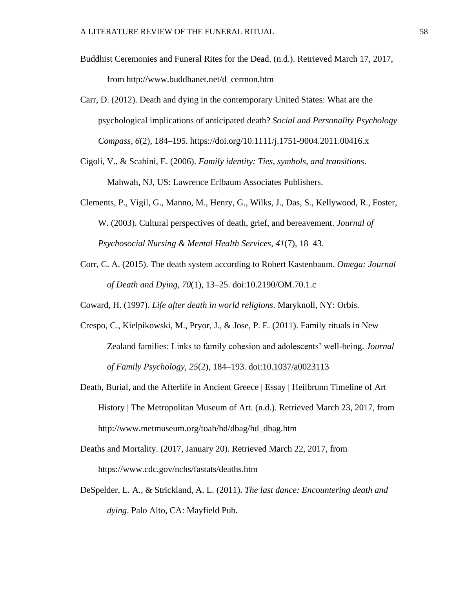- Buddhist Ceremonies and Funeral Rites for the Dead. (n.d.). Retrieved March 17, 2017, from http://www.buddhanet.net/d\_cermon.htm
- Carr, D. (2012). Death and dying in the contemporary United States: What are the psychological implications of anticipated death? *Social and Personality Psychology Compass*, *6*(2), 184–195. https://doi.org/10.1111/j.1751-9004.2011.00416.x
- Cigoli, V., & Scabini, E. (2006). *Family identity: Ties, symbols, and transitions*. Mahwah, NJ, US: Lawrence Erlbaum Associates Publishers.
- Clements, P., Vigil, G., Manno, M., Henry, G., Wilks, J., Das, S., Kellywood, R., Foster, W. (2003). Cultural perspectives of death, grief, and bereavement. *Journal of Psychosocial Nursing & Mental Health Services*, *41*(7), 18–43.
- Corr, C. A. (2015). The death system according to Robert Kastenbaum. *Omega: Journal of Death and Dying*, *70*(1), 13–25. doi:10.2190/OM.70.1.c
- Coward, H. (1997). *Life after death in world religions*. Maryknoll, NY: Orbis.
- Crespo, C., Kielpikowski, M., Pryor, J., & Jose, P. E. (2011). Family rituals in New Zealand families: Links to family cohesion and adolescents' well-being. *Journal of Family Psychology*, *25*(2), 184–193. [doi:10.1037/a0023113](https://doi.org/10.1037/a0023113)
- Death, Burial, and the Afterlife in Ancient Greece | Essay | Heilbrunn Timeline of Art History | The Metropolitan Museum of Art. (n.d.). Retrieved March 23, 2017, from http://www.metmuseum.org/toah/hd/dbag/hd\_dbag.htm
- Deaths and Mortality. (2017, January 20). Retrieved March 22, 2017, from https://www.cdc.gov/nchs/fastats/deaths.htm
- DeSpelder, L. A., & Strickland, A. L. (2011). *The last dance: Encountering death and dying*. Palo Alto, CA: Mayfield Pub.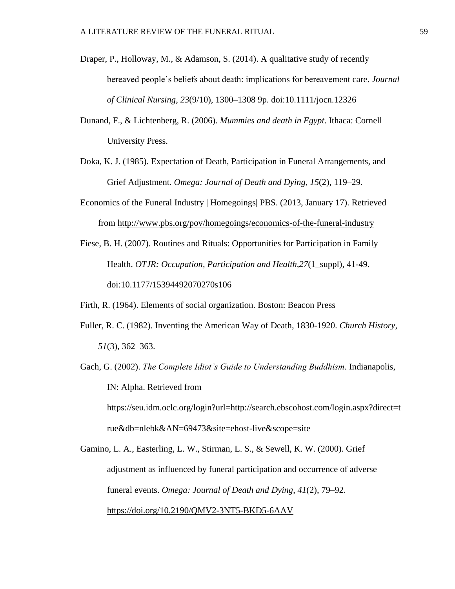- Draper, P., Holloway, M., & Adamson, S. (2014). A qualitative study of recently bereaved people's beliefs about death: implications for bereavement care. *Journal of Clinical Nursing*, *23*(9/10), 1300–1308 9p. doi:10.1111/jocn.12326
- Dunand, F., & Lichtenberg, R. (2006). *Mummies and death in Egypt*. Ithaca: Cornell University Press.
- Doka, K. J. (1985). Expectation of Death, Participation in Funeral Arrangements, and Grief Adjustment. *Omega: Journal of Death and Dying*, *15*(2), 119–29.
- Economics of the Funeral Industry | Homegoings| PBS. (2013, January 17). Retrieved from <http://www.pbs.org/pov/homegoings/economics-of-the-funeral-industry>
- Fiese, B. H. (2007). Routines and Rituals: Opportunities for Participation in Family Health. *OTJR: Occupation, Participation and Health,27*(1\_suppl), 41-49. doi:10.1177/15394492070270s106

Firth, R. (1964). Elements of social organization. Boston: Beacon Press

- Fuller, R. C. (1982). Inventing the American Way of Death, 1830-1920. *Church History*, *51*(3), 362–363.
- Gach, G. (2002). *The Complete Idiot's Guide to Understanding Buddhism*. Indianapolis, IN: Alpha. Retrieved from https://seu.idm.oclc.org/login?url=http://search.ebscohost.com/login.aspx?direct=t rue&db=nlebk&AN=69473&site=ehost-live&scope=site

Gamino, L. A., Easterling, L. W., Stirman, L. S., & Sewell, K. W. (2000). Grief adjustment as influenced by funeral participation and occurrence of adverse funeral events. *Omega: Journal of Death and Dying*, *41*(2), 79–92. <https://doi.org/10.2190/QMV2-3NT5-BKD5-6AAV>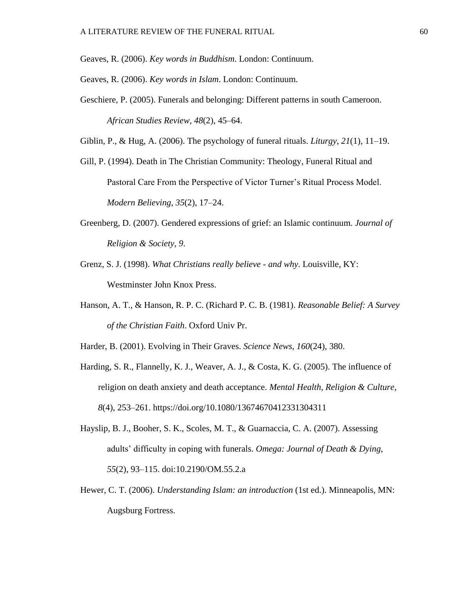Geaves, R. (2006). *Key words in Buddhism*. London: Continuum.

Geaves, R. (2006). *Key words in Islam*. London: Continuum.

Geschiere, P. (2005). Funerals and belonging: Different patterns in south Cameroon. *African Studies Review*, *48*(2), 45–64.

Giblin, P., & Hug, A. (2006). The psychology of funeral rituals. *Liturgy*, *21*(1), 11–19.

- Gill, P. (1994). Death in The Christian Community: Theology, Funeral Ritual and Pastoral Care From the Perspective of Victor Turner's Ritual Process Model. *Modern Believing*, *35*(2), 17–24.
- Greenberg, D. (2007). Gendered expressions of grief: an Islamic continuum. *Journal of Religion & Society*, *9*.
- Grenz, S. J. (1998). *What Christians really believe - and why*. Louisville, KY: Westminster John Knox Press.
- Hanson, A. T., & Hanson, R. P. C. (Richard P. C. B. (1981). *Reasonable Belief: A Survey of the Christian Faith*. Oxford Univ Pr.

Harder, B. (2001). Evolving in Their Graves. *Science News*, *160*(24), 380.

- Harding, S. R., Flannelly, K. J., Weaver, A. J., & Costa, K. G. (2005). The influence of religion on death anxiety and death acceptance. *Mental Health, Religion & Culture*, *8*(4), 253–261. https://doi.org/10.1080/13674670412331304311
- Hayslip, B. J., Booher, S. K., Scoles, M. T., & Guarnaccia, C. A. (2007). Assessing adults' difficulty in coping with funerals. *Omega: Journal of Death & Dying*, *55*(2), 93–115. doi:10.2190/OM.55.2.a
- Hewer, C. T. (2006). *Understanding Islam: an introduction* (1st ed.). Minneapolis, MN: Augsburg Fortress.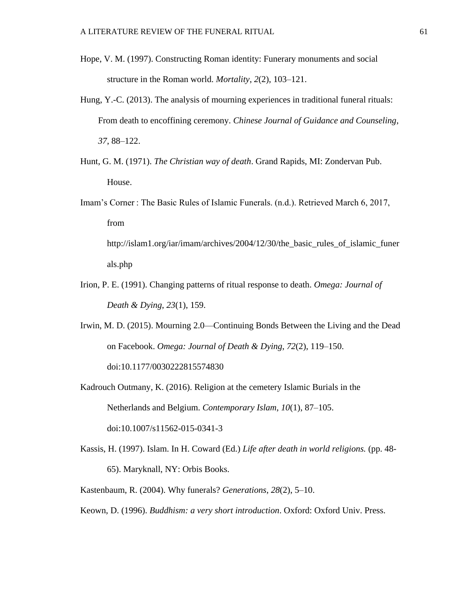- Hope, V. M. (1997). Constructing Roman identity: Funerary monuments and social structure in the Roman world. *Mortality*, *2*(2), 103–121.
- Hung, Y.-C. (2013). The analysis of mourning experiences in traditional funeral rituals: From death to encoffining ceremony. *Chinese Journal of Guidance and Counseling*, *37*, 88–122.
- Hunt, G. M. (1971). *The Christian way of death*. Grand Rapids, MI: Zondervan Pub. House.
- Imam's Corner : The Basic Rules of Islamic Funerals. (n.d.). Retrieved March 6, 2017, from

http://islam1.org/iar/imam/archives/2004/12/30/the\_basic\_rules\_of\_islamic\_funer als.php

- Irion, P. E. (1991). Changing patterns of ritual response to death. *Omega: Journal of Death & Dying*, *23*(1), 159.
- Irwin, M. D. (2015). Mourning 2.0—Continuing Bonds Between the Living and the Dead on Facebook. *Omega: Journal of Death & Dying*, *72*(2), 119–150. doi:10.1177/0030222815574830

Kadrouch Outmany, K. (2016). Religion at the cemetery Islamic Burials in the Netherlands and Belgium. *Contemporary Islam*, *10*(1), 87–105. doi:10.1007/s11562-015-0341-3

Kassis, H. (1997). Islam. In H. Coward (Ed.) *Life after death in world religions.* (pp. 48- 65). Maryknall, NY: Orbis Books.

Kastenbaum, R. (2004). Why funerals? *Generations*, *28*(2), 5–10.

Keown, D. (1996). *Buddhism: a very short introduction*. Oxford: Oxford Univ. Press.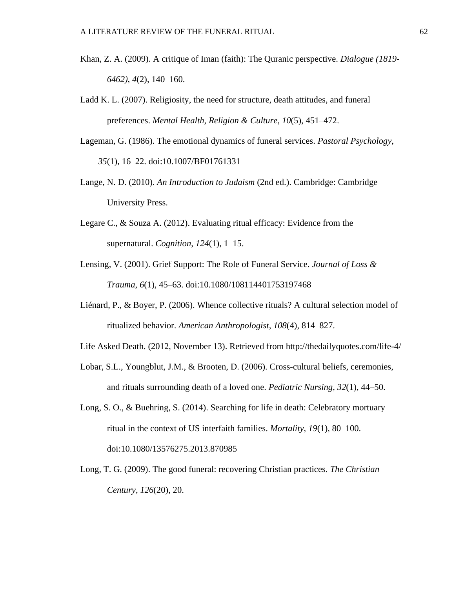- Khan, Z. A. (2009). A critique of Iman (faith): The Quranic perspective. *Dialogue (1819- 6462)*, *4*(2), 140–160.
- Ladd K. L. (2007). Religiosity, the need for structure, death attitudes, and funeral preferences. *Mental Health, Religion & Culture*, *10*(5), 451–472.
- Lageman, G. (1986). The emotional dynamics of funeral services. *Pastoral Psychology*, *35*(1), 16–22. doi:10.1007/BF01761331
- Lange, N. D. (2010). *An Introduction to Judaism* (2nd ed.). Cambridge: Cambridge University Press.
- Legare C., & Souza A. (2012). Evaluating ritual efficacy: Evidence from the supernatural. *Cognition*, *124*(1), 1–15.
- Lensing, V. (2001). Grief Support: The Role of Funeral Service. *Journal of Loss & Trauma*, *6*(1), 45–63. doi:10.1080/108114401753197468
- Liénard, P., & Boyer, P. (2006). Whence collective rituals? A cultural selection model of ritualized behavior. *American Anthropologist*, *108*(4), 814–827.
- Life Asked Death. (2012, November 13). Retrieved from http://thedailyquotes.com/life-4/
- Lobar, S.L., Youngblut, J.M., & Brooten, D. (2006). Cross-cultural beliefs, ceremonies, and rituals surrounding death of a loved one. *Pediatric Nursing*, *32*(1), 44–50.
- Long, S. O., & Buehring, S. (2014). Searching for life in death: Celebratory mortuary ritual in the context of US interfaith families. *Mortality*, *19*(1), 80–100. doi:10.1080/13576275.2013.870985
- Long, T. G. (2009). The good funeral: recovering Christian practices. *The Christian Century*, *126*(20), 20.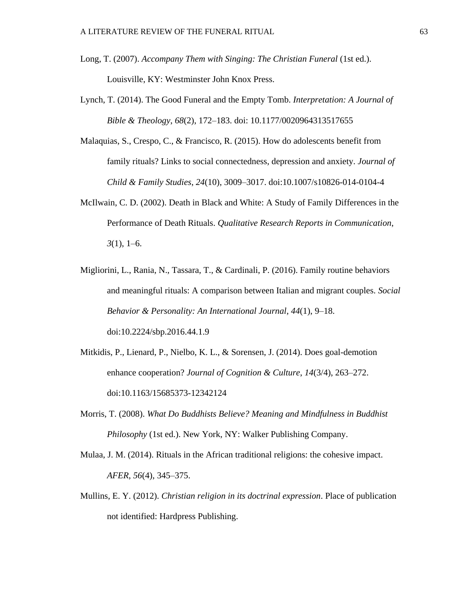- Long, T. (2007). *Accompany Them with Singing: The Christian Funeral* (1st ed.). Louisville, KY: Westminster John Knox Press.
- Lynch, T. (2014). The Good Funeral and the Empty Tomb. *Interpretation: A Journal of Bible & Theology*, *68*(2), 172–183. doi: 10.1177/0020964313517655
- Malaquias, S., Crespo, C., & Francisco, R. (2015). How do adolescents benefit from family rituals? Links to social connectedness, depression and anxiety. *Journal of Child & Family Studies*, *24*(10), 3009–3017. doi:10.1007/s10826-014-0104-4
- McIlwain, C. D. (2002). Death in Black and White: A Study of Family Differences in the Performance of Death Rituals. *Qualitative Research Reports in Communication*, *3*(1), 1–6.
- Migliorini, L., Rania, N., Tassara, T., & Cardinali, P. (2016). Family routine behaviors and meaningful rituals: A comparison between Italian and migrant couples. *Social Behavior & Personality: An International Journal*, *44*(1), 9–18. doi:10.2224/sbp.2016.44.1.9
- Mitkidis, P., Lienard, P., Nielbo, K. L., & Sorensen, J. (2014). Does goal-demotion enhance cooperation? *Journal of Cognition & Culture*, *14*(3/4), 263–272. doi:10.1163/15685373-12342124
- Morris, T. (2008). *What Do Buddhists Believe? Meaning and Mindfulness in Buddhist Philosophy* (1st ed.). New York, NY: Walker Publishing Company.
- Mulaa, J. M. (2014). Rituals in the African traditional religions: the cohesive impact. *AFER*, *56*(4), 345–375.
- Mullins, E. Y. (2012). *Christian religion in its doctrinal expression*. Place of publication not identified: Hardpress Publishing.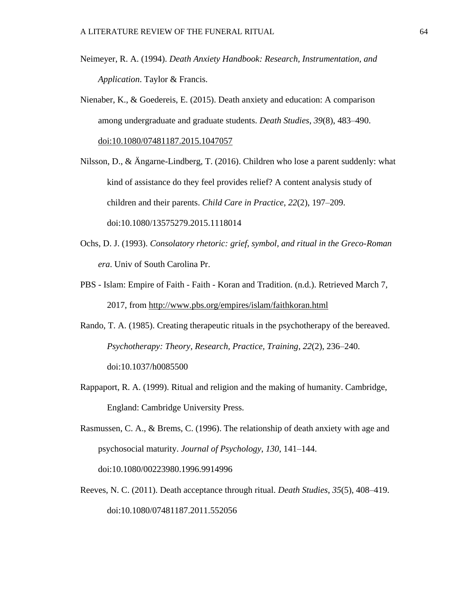- Neimeyer, R. A. (1994). *Death Anxiety Handbook: Research, Instrumentation, and Application*. Taylor & Francis.
- Nienaber, K., & Goedereis, E. (2015). Death anxiety and education: A comparison among undergraduate and graduate students. *Death Studies*, *39*(8), 483–490. [doi:10.1080/07481187.2015.1047057](https://doi.org/10.1080/07481187.2015.1047057)
- Nilsson, D., & Ängarne-Lindberg, T. (2016). Children who lose a parent suddenly: what kind of assistance do they feel provides relief? A content analysis study of children and their parents. *Child Care in Practice*, *22*(2), 197–209. doi:10.1080/13575279.2015.1118014
- Ochs, D. J. (1993). *Consolatory rhetoric: grief, symbol, and ritual in the Greco-Roman era*. Univ of South Carolina Pr.
- PBS Islam: Empire of Faith Faith Koran and Tradition. (n.d.). Retrieved March 7, 2017, from<http://www.pbs.org/empires/islam/faithkoran.html>
- Rando, T. A. (1985). Creating therapeutic rituals in the psychotherapy of the bereaved. *Psychotherapy: Theory, Research, Practice, Training*, *22*(2), 236–240. doi:10.1037/h0085500
- Rappaport, R. A. (1999). Ritual and religion and the making of humanity. Cambridge, England: Cambridge University Press.

Rasmussen, C. A., & Brems, C. (1996). The relationship of death anxiety with age and psychosocial maturity. *Journal of Psychology*, *130*, 141–144. doi:10.1080/00223980.1996.9914996

Reeves, N. C. (2011). Death acceptance through ritual. *Death Studies*, *35*(5), 408–419. doi:10.1080/07481187.2011.552056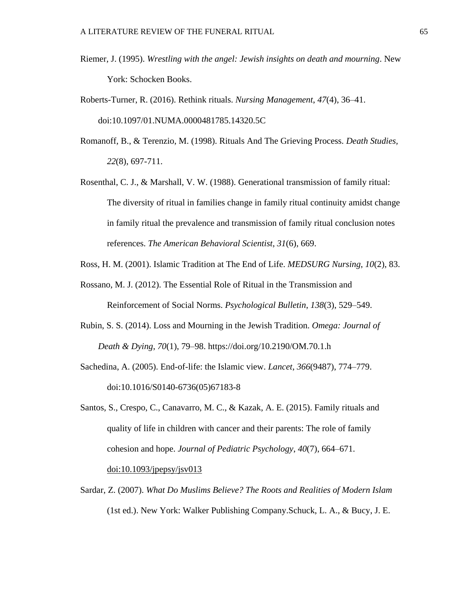- Riemer, J. (1995). *Wrestling with the angel: Jewish insights on death and mourning*. New York: Schocken Books.
- Roberts-Turner, R. (2016). Rethink rituals. *Nursing Management*, *47*(4), 36–41. doi:10.1097/01.NUMA.0000481785.14320.5C
- Romanoff, B., & Terenzio, M. (1998). Rituals And The Grieving Process. *Death Studies, 22*(8), 697-711.
- Rosenthal, C. J., & Marshall, V. W. (1988). Generational transmission of family ritual: The diversity of ritual in families change in family ritual continuity amidst change in family ritual the prevalence and transmission of family ritual conclusion notes references. *The American Behavioral Scientist*, *31*(6), 669.
- Ross, H. M. (2001). Islamic Tradition at The End of Life. *MEDSURG Nursing*, *10*(2), 83.
- Rossano, M. J. (2012). The Essential Role of Ritual in the Transmission and Reinforcement of Social Norms. *Psychological Bulletin*, *138*(3), 529–549.
- Rubin, S. S. (2014). Loss and Mourning in the Jewish Tradition. *Omega: Journal of Death & Dying*, *70*(1), 79–98. https://doi.org/10.2190/OM.70.1.h
- Sachedina, A. (2005). End-of-life: the Islamic view. *Lancet*, *366*(9487), 774–779. doi:10.1016/S0140-6736(05)67183-8
- Santos, S., Crespo, C., Canavarro, M. C., & Kazak, A. E. (2015). Family rituals and quality of life in children with cancer and their parents: The role of family cohesion and hope. *Journal of Pediatric Psychology*, *40*(7), 664–671.

[doi:10.1093/jpepsy/jsv013](https://doi.org/10.1093/jpepsy/jsv013)

Sardar, Z. (2007). *What Do Muslims Believe? The Roots and Realities of Modern Islam* (1st ed.). New York: Walker Publishing Company.Schuck, L. A., & Bucy, J. E.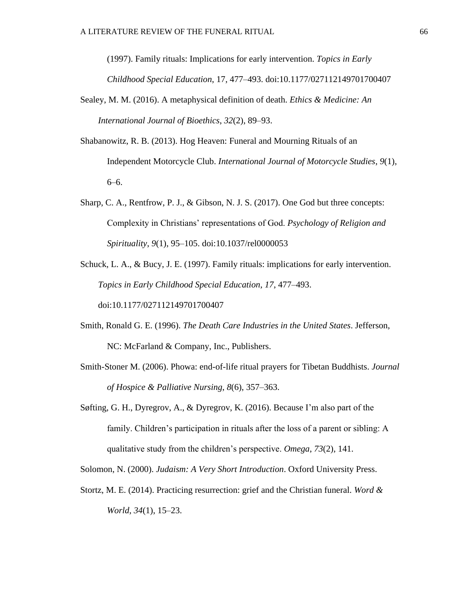(1997). Family rituals: Implications for early intervention. *Topics in Early Childhood Special Education*, 17, 477–493. doi:10.1177/027112149701700407

- Sealey, M. M. (2016). A metaphysical definition of death. *Ethics & Medicine: An International Journal of Bioethics*, *32*(2), 89–93.
- Shabanowitz, R. B. (2013). Hog Heaven: Funeral and Mourning Rituals of an Independent Motorcycle Club. *International Journal of Motorcycle Studies*, *9*(1), 6–6.
- Sharp, C. A., Rentfrow, P. J., & Gibson, N. J. S. (2017). One God but three concepts: Complexity in Christians' representations of God. *Psychology of Religion and Spirituality*, *9*(1), 95–105. [doi:10.1037/rel0000053](https://doi.org/10.1037/rel0000053)
- Schuck, L. A., & Bucy, J. E. (1997). Family rituals: implications for early intervention. *Topics in Early Childhood Special Education*, *17*, 477–493. doi:10.1177/027112149701700407
- Smith, Ronald G. E. (1996). *The Death Care Industries in the United States*. Jefferson, NC: McFarland & Company, Inc., Publishers.
- Smith-Stoner M. (2006). Phowa: end-of-life ritual prayers for Tibetan Buddhists. *Journal of Hospice & Palliative Nursing*, *8*(6), 357–363.
- Søfting, G. H., Dyregrov, A., & Dyregrov, K. (2016). Because I'm also part of the family. Children's participation in rituals after the loss of a parent or sibling: A qualitative study from the children's perspective. *Omega*, *73*(2), 141.

Solomon, N. (2000). *Judaism: A Very Short Introduction*. Oxford University Press.

Stortz, M. E. (2014). Practicing resurrection: grief and the Christian funeral. *Word & World*, *34*(1), 15–23.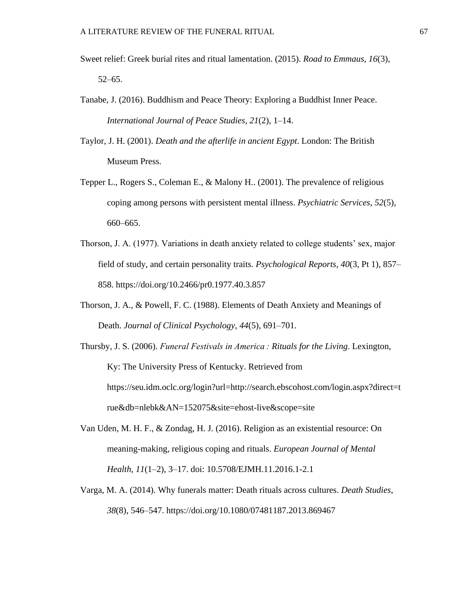- Sweet relief: Greek burial rites and ritual lamentation. (2015). *Road to Emmaus*, *16*(3), 52–65.
- Tanabe, J. (2016). Buddhism and Peace Theory: Exploring a Buddhist Inner Peace. *International Journal of Peace Studies*, *21*(2), 1–14.

Taylor, J. H. (2001). *Death and the afterlife in ancient Egypt*. London: The British Museum Press.

- Tepper L., Rogers S., Coleman E., & Malony H.. (2001). The prevalence of religious coping among persons with persistent mental illness. *Psychiatric Services*, *52*(5), 660–665.
- Thorson, J. A. (1977). Variations in death anxiety related to college students' sex, major field of study, and certain personality traits. *Psychological Reports*, *40*(3, Pt 1), 857– 858. https://doi.org/10.2466/pr0.1977.40.3.857
- Thorson, J. A., & Powell, F. C. (1988). Elements of Death Anxiety and Meanings of Death. *Journal of Clinical Psychology*, *44*(5), 691–701.
- Thursby, J. S. (2006). *Funeral Festivals in America : Rituals for the Living*. Lexington, Ky: The University Press of Kentucky. Retrieved from https://seu.idm.oclc.org/login?url=http://search.ebscohost.com/login.aspx?direct=t rue&db=nlebk&AN=152075&site=ehost-live&scope=site
- Van Uden, M. H. F., & Zondag, H. J. (2016). Religion as an existential resource: On meaning-making, religious coping and rituals. *European Journal of Mental Health*, *11*(1–2), 3–17. doi: 10.5708/EJMH.11.2016.1-2.1
- Varga, M. A. (2014). Why funerals matter: Death rituals across cultures. *Death Studies*, *38*(8), 546–547. https://doi.org/10.1080/07481187.2013.869467